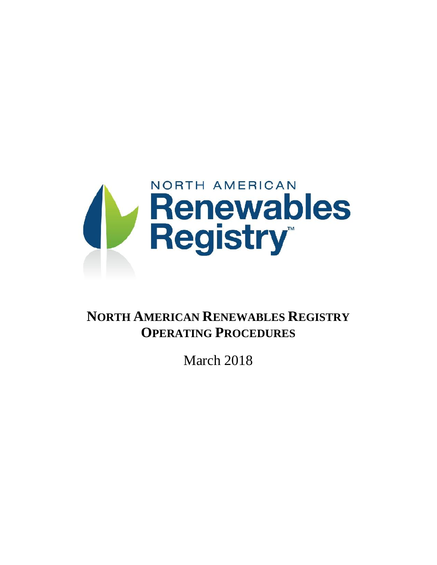

# **NORTH AMERICAN RENEWABLES REGISTRY OPERATING PROCEDURES**

March 2018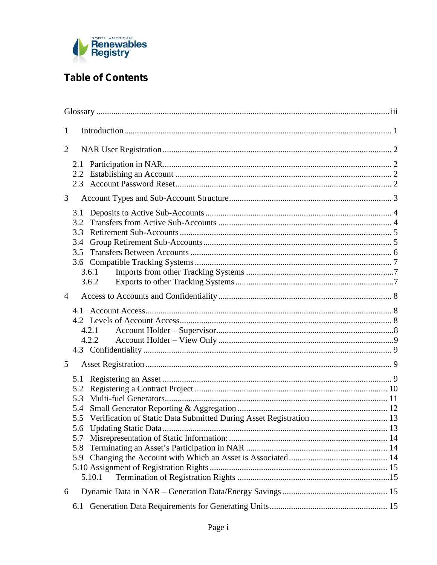

## **Table of Contents**

| $\mathbf{1}$   |                                                      |                |  |  |  |
|----------------|------------------------------------------------------|----------------|--|--|--|
| $\overline{2}$ |                                                      |                |  |  |  |
|                | 2.1<br>2.2                                           |                |  |  |  |
| 3              |                                                      |                |  |  |  |
|                | 3.1<br>3.2<br>3.3<br>3.4<br>3.5                      | 3.6.1<br>3.6.2 |  |  |  |
| $\overline{4}$ |                                                      |                |  |  |  |
|                |                                                      | 4.2.1<br>4.2.2 |  |  |  |
| 5              |                                                      |                |  |  |  |
|                | 5.1<br>5.2<br>5.3<br>5.4<br>5.6<br>5.7<br>5.8<br>5.9 | 5.10.1         |  |  |  |
| 6              |                                                      |                |  |  |  |
|                | 6.1                                                  |                |  |  |  |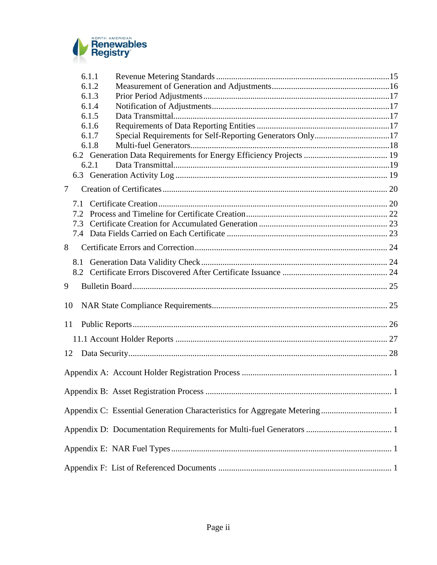

|    | 6.1.1 |                                                                           |  |
|----|-------|---------------------------------------------------------------------------|--|
|    | 6.1.2 |                                                                           |  |
|    | 6.1.3 |                                                                           |  |
|    | 6.1.4 |                                                                           |  |
|    | 6.1.5 |                                                                           |  |
|    | 6.1.6 |                                                                           |  |
|    | 6.1.7 | Special Requirements for Self-Reporting Generators Only17                 |  |
|    | 6.1.8 |                                                                           |  |
|    |       |                                                                           |  |
|    | 6.2.1 |                                                                           |  |
|    |       |                                                                           |  |
| 7  |       |                                                                           |  |
|    | 7.1   |                                                                           |  |
|    | 7.2   |                                                                           |  |
|    | 7.3   |                                                                           |  |
|    | 7.4   |                                                                           |  |
| 8  |       |                                                                           |  |
|    | 8.1   |                                                                           |  |
|    |       |                                                                           |  |
|    |       |                                                                           |  |
| 9  |       |                                                                           |  |
| 10 |       |                                                                           |  |
| 11 |       |                                                                           |  |
|    |       |                                                                           |  |
|    |       |                                                                           |  |
| 12 |       |                                                                           |  |
|    |       |                                                                           |  |
|    |       |                                                                           |  |
|    |       | Appendix C: Essential Generation Characteristics for Aggregate Metering 1 |  |
|    |       |                                                                           |  |
|    |       |                                                                           |  |
|    |       |                                                                           |  |
|    |       |                                                                           |  |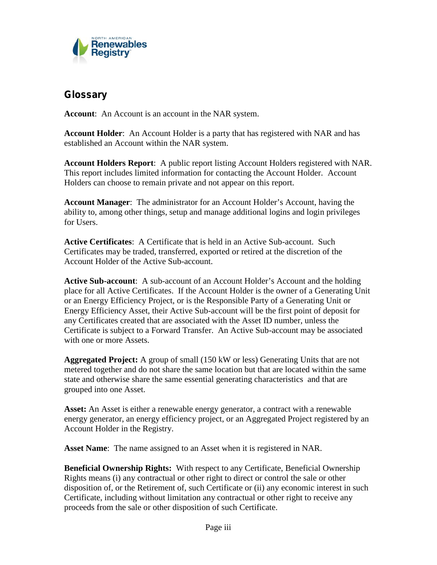

## **Glossary**

**Account**: An Account is an account in the NAR system.

**Account Holder**: An Account Holder is a party that has registered with NAR and has established an Account within the NAR system.

**Account Holders Report**: A public report listing Account Holders registered with NAR. This report includes limited information for contacting the Account Holder. Account Holders can choose to remain private and not appear on this report.

**Account Manager**: The administrator for an Account Holder's Account, having the ability to, among other things, setup and manage additional logins and login privileges for Users.

**Active Certificates**: A Certificate that is held in an Active Sub-account. Such Certificates may be traded, transferred, exported or retired at the discretion of the Account Holder of the Active Sub-account.

**Active Sub-account**: A sub-account of an Account Holder's Account and the holding place for all Active Certificates. If the Account Holder is the owner of a Generating Unit or an Energy Efficiency Project, or is the Responsible Party of a Generating Unit or Energy Efficiency Asset, their Active Sub-account will be the first point of deposit for any Certificates created that are associated with the Asset ID number, unless the Certificate is subject to a Forward Transfer. An Active Sub-account may be associated with one or more Assets.

**Aggregated Project:** A group of small (150 kW or less) Generating Units that are not metered together and do not share the same location but that are located within the same state and otherwise share the same essential generating characteristics and that are grouped into one Asset.

**Asset:** An Asset is either a renewable energy generator, a contract with a renewable energy generator, an energy efficiency project, or an Aggregated Project registered by an Account Holder in the Registry.

**Asset Name**: The name assigned to an Asset when it is registered in NAR.

**Beneficial Ownership Rights:** With respect to any Certificate, Beneficial Ownership Rights means (i) any contractual or other right to direct or control the sale or other disposition of, or the Retirement of, such Certificate or (ii) any economic interest in such Certificate, including without limitation any contractual or other right to receive any proceeds from the sale or other disposition of such Certificate.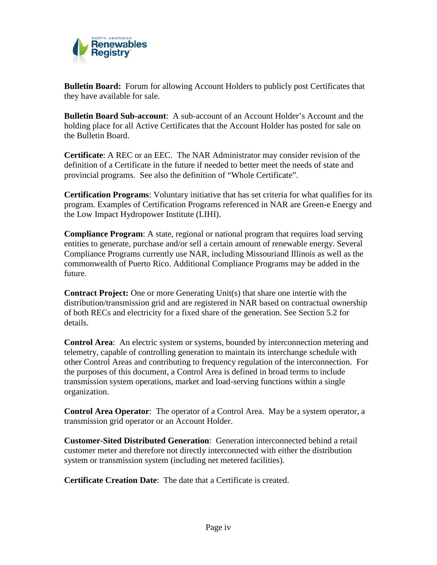

**Bulletin Board:** Forum for allowing Account Holders to publicly post Certificates that they have available for sale.

**Bulletin Board Sub-account**: A sub-account of an Account Holder's Account and the holding place for all Active Certificates that the Account Holder has posted for sale on the Bulletin Board.

**Certificate**: A REC or an EEC. The NAR Administrator may consider revision of the definition of a Certificate in the future if needed to better meet the needs of state and provincial programs. See also the definition of "Whole Certificate".

**Certification Programs**: Voluntary initiative that has set criteria for what qualifies for its program. Examples of Certification Programs referenced in NAR are Green-e Energy and the Low Impact Hydropower Institute (LIHI).

**Compliance Program**: A state, regional or national program that requires load serving entities to generate, purchase and/or sell a certain amount of renewable energy. Several Compliance Programs currently use NAR, including Missouriand Illinois as well as the commonwealth of Puerto Rico. Additional Compliance Programs may be added in the future.

**Contract Project:** One or more Generating Unit(s) that share one intertie with the distribution/transmission grid and are registered in NAR based on contractual ownership of both RECs and electricity for a fixed share of the generation. See Section 5.2 for details.

**Control Area**: An electric system or systems, bounded by interconnection metering and telemetry, capable of controlling generation to maintain its interchange schedule with other Control Areas and contributing to frequency regulation of the interconnection. For the purposes of this document, a Control Area is defined in broad terms to include transmission system operations, market and load-serving functions within a single organization.

**Control Area Operator**: The operator of a Control Area. May be a system operator, a transmission grid operator or an Account Holder.

**Customer-Sited Distributed Generation**: Generation interconnected behind a retail customer meter and therefore not directly interconnected with either the distribution system or transmission system (including net metered facilities).

**Certificate Creation Date**: The date that a Certificate is created.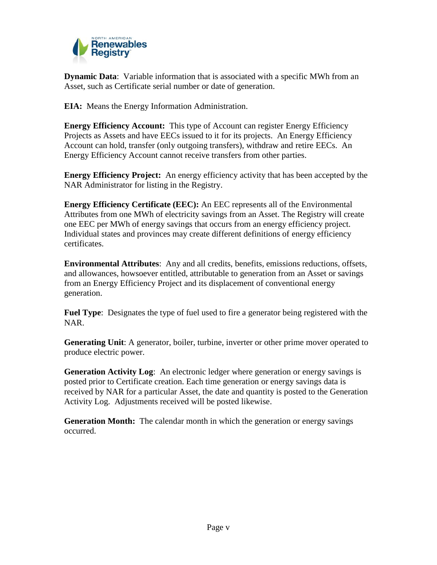

**Dynamic Data**: Variable information that is associated with a specific MWh from an Asset, such as Certificate serial number or date of generation.

**EIA:** Means the Energy Information Administration.

**Energy Efficiency Account:** This type of Account can register Energy Efficiency Projects as Assets and have EECs issued to it for its projects. An Energy Efficiency Account can hold, transfer (only outgoing transfers), withdraw and retire EECs. An Energy Efficiency Account cannot receive transfers from other parties.

**Energy Efficiency Project:** An energy efficiency activity that has been accepted by the NAR Administrator for listing in the Registry.

**Energy Efficiency Certificate (EEC):** An EEC represents all of the Environmental Attributes from one MWh of electricity savings from an Asset. The Registry will create one EEC per MWh of energy savings that occurs from an energy efficiency project. Individual states and provinces may create different definitions of energy efficiency certificates.

**Environmental Attributes**: Any and all credits, benefits, emissions reductions, offsets, and allowances, howsoever entitled, attributable to generation from an Assetor savings from an Energy Efficiency Project and its displacement of conventional energy generation.

**Fuel Type**: Designates the type of fuel used to fire a generator being registered with the NAR.

**Generating Unit**: A generator, boiler, turbine, inverter or other prime mover operated to produce electric power.

**Generation Activity Log**: An electronic ledger where generation or energy savings is posted prior to Certificate creation. Each time generation or energy savings data is received by NAR for a particular Asset, the date and quantity is posted to the Generation Activity Log. Adjustments received will be posted likewise.

**Generation Month:** The calendar month in which the generation or energy savings occurred.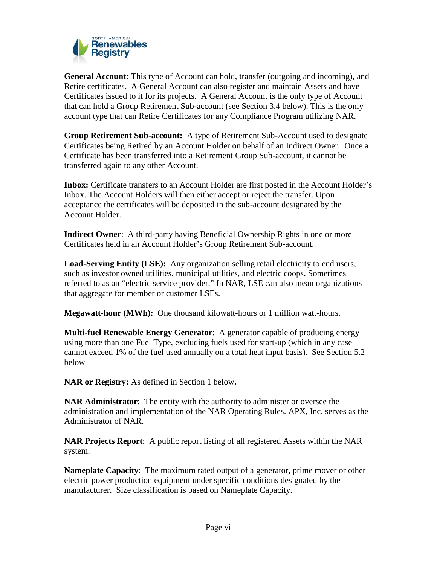

**General Account:** This type of Account can hold, transfer (outgoing and incoming), and Retire certificates. A General Account can also register and maintain Assets and have Certificates issued to it for its projects. A General Account is the only type of Account that can hold a Group Retirement Sub-account (see Section 3.4 below). This is the only account type that can Retire Certificates for any Compliance Program utilizing NAR.

**Group Retirement Sub-account:** A type of Retirement Sub-Account used to designate Certificates being Retired by an Account Holder on behalf of an Indirect Owner. Once a Certificate has been transferred into a Retirement Group Sub-account, it cannot be transferred again to any other Account.

**Inbox:** Certificate transfers to an Account Holder are first posted in the Account Holder's Inbox. The Account Holders will then either accept or reject the transfer. Upon acceptance the certificates will be deposited in the sub-account designated by the Account Holder.

**Indirect Owner**: A third-party having Beneficial Ownership Rights in one or more Certificates held in an Account Holder's Group Retirement Sub-account.

**Load-Serving Entity (LSE):** Any organization selling retail electricity to end users, such as investor owned utilities, municipal utilities, and electric coops. Sometimes referred to as an "electric service provider." In NAR, LSE can also mean organizations that aggregate for member or customer LSEs.

**Megawatt-hour (MWh):** One thousand kilowatt-hours or 1 million watt-hours.

**Multi-fuel Renewable Energy Generator**: A generator capable of producing energy using more than one Fuel Type, excluding fuels used for start-up (which in any case cannot exceed 1% of the fuel used annually on a total heat input basis). See Section 5.2 below

**NAR or Registry:** As defined in Section 1 below**.**

**NAR Administrator**: The entity with the authority to administer or oversee the administration and implementation of the NAR Operating Rules. APX, Inc. serves as the Administrator of NAR.

**NAR Projects Report**: A public report listing of all registered Assets within the NAR system.

**Nameplate Capacity**: The maximum rated output of a generator, prime mover or other electric power production equipment under specific conditions designated by the manufacturer. Size classification is based on Nameplate Capacity.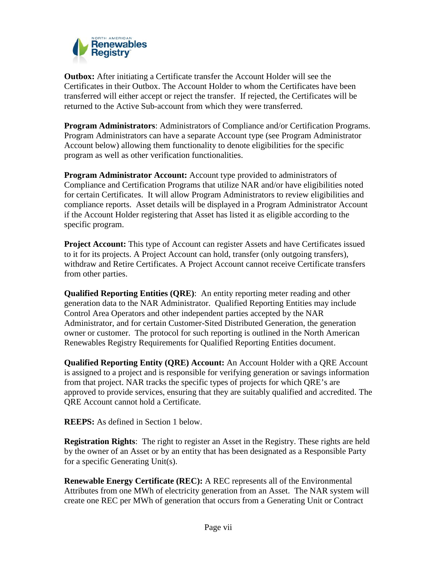

**Outbox:** After initiating a Certificate transfer the Account Holder will see the Certificates in their Outbox. The Account Holder to whom the Certificates have been transferred will either accept or reject the transfer. If rejected, the Certificates will be returned to the Active Sub-account from which they were transferred.

**Program Administrators**: Administrators of Compliance and/or Certification Programs. Program Administrators can have a separate Account type (see Program Administrator Account below) allowing them functionality to denote eligibilities for the specific program as well as other verification functionalities.

**Program Administrator Account:** Account type provided to administrators of Compliance and Certification Programs that utilize NAR and/or have eligibilities noted for certain Certificates. It will allow Program Administrators to review eligibilities and compliance reports. Asset details will be displayed in a Program Administrator Account if the Account Holder registering that Asset has listed it as eligible according to the specific program.

**Project Account:** This type of Account can register Assets and have Certificates issued to it for its projects. A Project Account can hold, transfer (only outgoing transfers), withdraw and Retire Certificates. A Project Account cannot receive Certificate transfers from other parties.

**Qualified Reporting Entities (QRE)**: An entity reporting meter reading and other generation data to the NAR Administrator. Qualified Reporting Entities may include Control Area Operators and other independent parties accepted by the NAR Administrator, and for certain Customer-Sited Distributed Generation, the generation owner or customer. The protocol for such reporting is outlined in the North American Renewables Registry Requirements for Qualified Reporting Entities document.

**Qualified Reporting Entity (QRE) Account:** An Account Holder with a QRE Account is assigned to a project and is responsible for verifying generation or savings information from that project. NAR tracks the specific types of projects for which QRE's are approved to provide services, ensuring that they are suitably qualified and accredited. The QRE Account cannot hold a Certificate.

**REEPS:** As defined in Section 1 below.

**Registration Rights**: The right to register an Asset in the Registry. These rights are held by the owner of an Asset or by an entity that has been designated as a Responsible Party for a specific Generating Unit(s).

**Renewable Energy Certificate (REC):** A REC represents all of the Environmental Attributes from one MWh of electricity generation from an Asset. The NAR system will create one REC per MWh of generation that occurs from a Generating Unit or Contract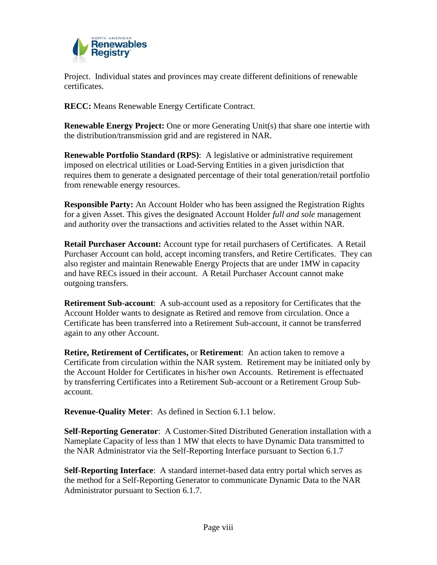

Project. Individual states and provinces may create different definitions of renewable certificates.

**RECC:** Means Renewable Energy Certificate Contract.

**Renewable Energy Project:** One or more Generating Unit(s) that share one intertie with the distribution/transmission grid and are registered in NAR.

**Renewable Portfolio Standard (RPS):** A legislative or administrative requirement imposed on electrical utilities or Load-Serving Entities in a given jurisdiction that requires them to generate a designated percentage of their total generation/retail portfolio from renewable energy resources.

**Responsible Party:** An Account Holder who has been assigned the Registration Rights for a given Asset. This gives the designated Account Holder *full and sole* management and authority over the transactions and activities related to the Asset within NAR.

**Retail Purchaser Account:** Account type for retail purchasers of Certificates. A Retail Purchaser Account can hold, accept incoming transfers, and Retire Certificates. They can also register and maintain Renewable Energy Projects that are under 1MW in capacity and have RECs issued in their account. A Retail Purchaser Account cannot make outgoing transfers.

**Retirement Sub-account**: A sub-account used as a repository for Certificates that the Account Holder wants to designate as Retired and remove from circulation. Once a Certificate has been transferred into a Retirement Sub-account, it cannot be transferred again to any other Account.

**Retire, Retirement of Certificates,** or **Retirement**: An action taken to remove a Certificate from circulation within the NAR system. Retirement may be initiated only by the Account Holder for Certificates in his/her own Accounts. Retirement is effectuated by transferring Certificates into a Retirement Sub-account or a Retirement Group Sub account.

**Revenue-Quality Meter**: As defined in Section 6.1.1 below.

**Self-Reporting Generator**: A Customer-Sited Distributed Generation installation with a Nameplate Capacity of less than 1 MW that elects to have Dynamic Data transmitted to the NAR Administrator via the Self-Reporting Interface pursuant to Section 6.1.7

**Self-Reporting Interface**: A standard internet-based data entry portal which serves as the method for a Self-Reporting Generator to communicate Dynamic Data to the NAR Administrator pursuant to Section 6.1.7.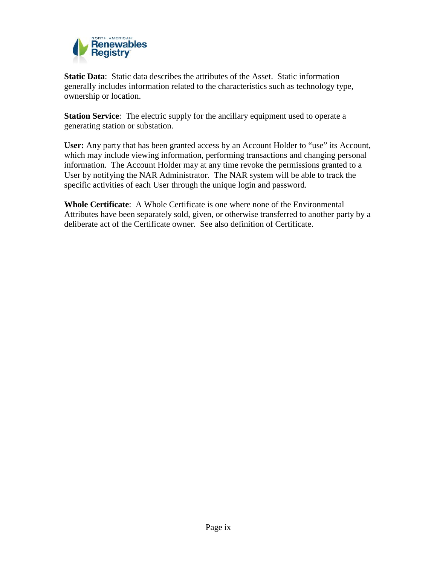

**Static Data**: Static data describes the attributes of the Asset. Static information generally includes information related to the characteristics such as technology type, ownership or location.

**Station Service:** The electric supply for the ancillary equipment used to operate a generating station or substation.

**User:** Any party that has been granted access by an Account Holder to "use" its Account, which may include viewing information, performing transactions and changing personal information. The Account Holder may at any time revoke the permissions granted to a User by notifying the NAR Administrator. The NAR system will be able to track the specific activities of each User through the unique login and password.

**Whole Certificate**: A Whole Certificate is one where none of the Environmental Attributes have been separately sold, given, or otherwise transferred to another party by a deliberate act of the Certificate owner. See also definition of Certificate.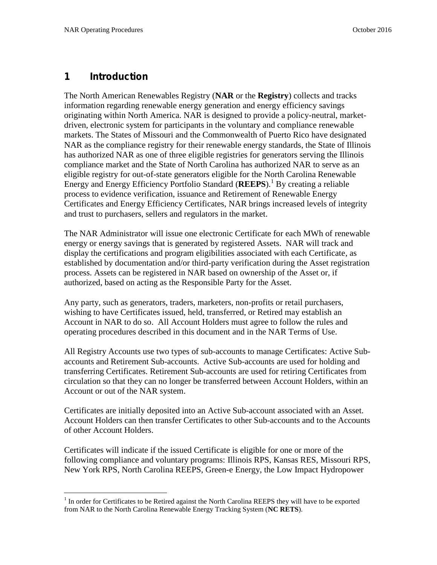### **1 Introduction**

The North American Renewables Registry (**NAR** or the **Registry**) collects and tracks information regarding renewable energy generation and energy efficiency savings originating within North America. NAR is designed to provide a policy-neutral, market driven, electronic system for participants in the voluntary and compliance renewable markets. The States of Missouri and the Commonwealth of Puerto Rico have designated NAR as the compliance registry for their renewable energy standards, the State of Illinois has authorized NAR as one of three eligible registries for generators serving the Illinois compliance market and the State of North Carolina has authorized NAR to serve as an eligible registry for out-of-state generators eligible for the North Carolina Renewable Energy and Energy Efficiency Portfolio Standard (**REEPS**).<sup>1</sup> By creating a reliable process to evidence verification, issuance and Retirement of Renewable Energy Certificates and Energy Efficiency Certificates, NAR brings increased levels of integrity and trust to purchasers, sellers and regulators in the market.

The NAR Administrator will issue one electronic Certificate for each MWh of renewable energy or energy savings that is generated by registered Assets. NAR will track and display the certifications and program eligibilities associated with each Certificate, as established by documentation and/or third-party verification during the Asset registration process. Assets can be registered in NAR based on ownership of the Asset or, if authorized, based on acting as the Responsible Party for the Asset.

Any party, such as generators, traders, marketers, non-profits or retail purchasers, wishing to have Certificates issued, held, transferred, or Retired may establish an Account in NAR to do so. All Account Holders must agree to follow the rules and operating procedures described in this document and in the NAR Terms of Use.

All Registry Accounts use two types of sub-accounts to manage Certificates: Active Sub accounts and Retirement Sub-accounts. Active Sub-accounts are used for holding and transferring Certificates. Retirement Sub-accounts are used for retiring Certificates from circulation so that they can no longer be transferred between Account Holders, within an Account or out of the NAR system.

Certificates are initially deposited into an Active Sub-account associated with an Asset. Account Holders can then transfer Certificates to other Sub-accounts and to the Accounts of other Account Holders.

Certificates will indicate if the issued Certificate is eligible for one or more of the following compliance and voluntary programs: Illinois RPS, Kansas RES, Missouri RPS, New York RPS, North Carolina REEPS, Green-e Energy, the Low Impact Hydropower

 $1$  In order for Certificates to be Retired against the North Carolina REEPS they will have to be exported from NAR to the North Carolina Renewable Energy Tracking System (**NC RETS**).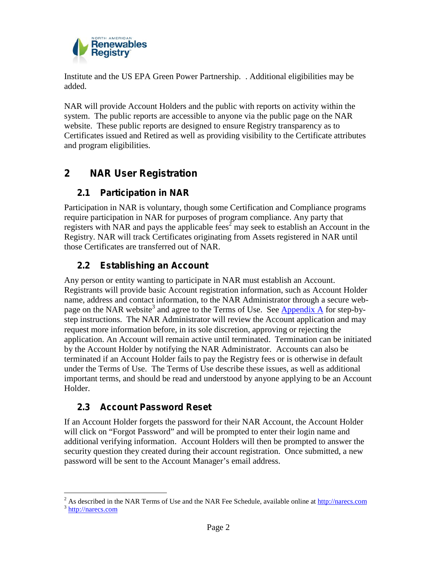

Institute and the US EPA Green Power Partnership. . Additional eligibilities may be added.

NAR will provide Account Holders and the public with reports on activity within the system. The public reports are accessible to anyone via the public page on the NAR website. These public reports are designed to ensure Registry transparency as to Certificates issued and Retired as well as providing visibility to the Certificate attributes and program eligibilities.

## **2 NAR User Registration**

## **2.1 Participation in NAR**

Participation in NAR is voluntary, though some Certification and Compliance programs require participation in NAR for purposes of program compliance. Any party that registers with NAR and pays the applicable fees<sup>2</sup> may seek to establish an Account in the Registry. NAR will track Certificates originating from Assets registered in NAR until those Certificates are transferred out of NAR.

## **2.2 Establishing an Account**

Any person or entity wanting to participate in NAR must establish an Account. Registrants will provide basic Account registration information, such as Account Holder name, address and contact information, to the NAR Administrator through a secure web page on the NAR website<sup>3</sup> and agree to the Terms of Use. See **Appendix A** for step-bystep instructions. The NAR Administrator will review the Account application and may request more information before, in its sole discretion, approving or rejecting the application. An Account will remain active until terminated. Termination can be initiated by the Account Holder by notifying the NAR Administrator. Accounts can also be terminated if an Account Holder fails to pay the Registry fees or is otherwise in default under the Terms of Use. The Terms of Use describe these issues, as well as additional important terms, and should be read and understood by anyone applying to be an Account Holder.

## **2.3 Account Password Reset**

If an Account Holder forgets the password for their NAR Account, the Account Holder will click on "Forgot Password" and will be prompted to enter their login name and additional verifying information. Account Holders will then be prompted to answer the security question they created during their account registration. Once submitted, a new password will be sent to the Account Manager's email address.

<sup>&</sup>lt;sup>2</sup> As described in the NAR Terms of Use and the NAR Fee Schedule, available online at http://narecs.com <sup>3</sup> http://narecs.com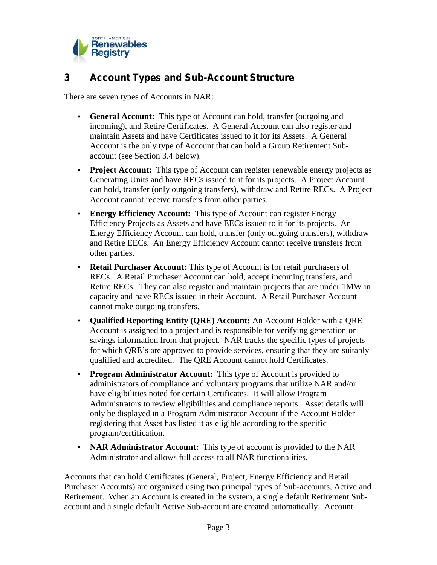

## **3 Account Types and Sub-Account Structure**

There are seven types of Accounts in NAR:

- **General Account:** This type of Account can hold, transfer (outgoing and incoming), and Retire Certificates. A General Account can also register and maintain Assets and have Certificates issued to it for its Assets. A General Account is the only type of Account that can hold a Group Retirement Sub account (see Section 3.4 below).
- **Project Account:** This type of Account can register renewable energy projects as Generating Units and have RECs issued to it for its projects. A Project Account can hold, transfer (only outgoing transfers), withdraw and Retire RECs. A Project Account cannot receive transfers from other parties.
- **Energy Efficiency Account:** This type of Account can register Energy Efficiency Projects as Assets and have EECs issued to it for its projects. An Energy Efficiency Account can hold, transfer (only outgoing transfers), withdraw and Retire EECs. An Energy Efficiency Account cannot receive transfers from other parties.
- **Retail Purchaser Account:** This type of Account is for retail purchasers of RECs. A Retail Purchaser Account can hold, accept incoming transfers, and Retire RECs. They can also register and maintain projects that are under 1MW in capacity and have RECs issued in their Account. A Retail Purchaser Account cannot make outgoing transfers.
- **Qualified Reporting Entity (QRE) Account:** An Account Holder with a QRE Account is assigned to a project and is responsible for verifying generation or savings information from that project. NAR tracks the specific types of projects for which QRE's are approved to provide services, ensuring that they are suitably qualified and accredited. The QRE Account cannot hold Certificates.
- **Program Administrator Account:** This type of Account is provided to administrators of compliance and voluntary programs that utilize NAR and/or have eligibilities noted for certain Certificates. It will allow Program Administrators to review eligibilities and compliance reports. Asset details will only be displayed in a Program Administrator Account if the Account Holder registering that Asset has listed it as eligible according to the specific program/certification.
- **NAR Administrator Account:** This type of account is provided to the NAR Administrator and allows full access to all NAR functionalities.

Accounts that can hold Certificates (General, Project, Energy Efficiency and Retail Purchaser Accounts) are organized using two principal types of Sub-accounts, Active and Retirement. When an Account is created in the system, a single default Retirement Sub account and a single default Active Sub-account are created automatically. Account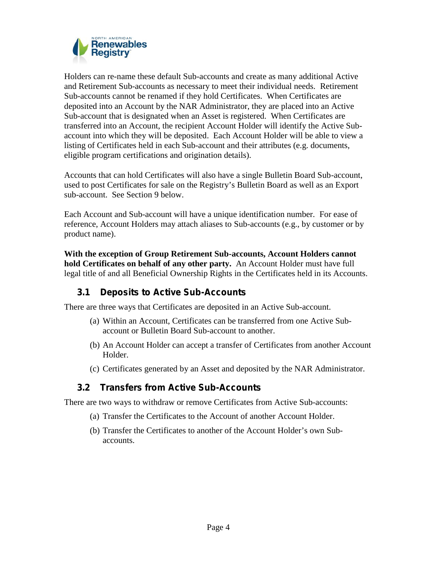

Holders can re-name these default Sub-accounts and create as many additional Active and Retirement Sub-accounts as necessary to meet their individual needs. Retirement Sub-accounts cannot be renamed if they hold Certificates. When Certificates are deposited into an Account by the NAR Administrator, they are placed into an Active Sub-account that is designated when an Asset is registered. When Certificates are transferred into an Account, the recipient Account Holder will identify the Active Sub account into which they will be deposited. Each Account Holder will be able to view a listing of Certificates held in each Sub-account and their attributes (e.g. documents, eligible program certifications and origination details).

Accounts that can hold Certificates will also have a single Bulletin Board Sub-account, used to post Certificates for sale on the Registry's Bulletin Board as well as an Export sub-account. See Section 9 below.

Each Account and Sub-account will have a unique identification number. For ease of reference, Account Holders may attach aliases to Sub-accounts (e.g., by customer or by product name).

**With the exception of Group Retirement Sub-accounts, Account Holders cannot hold Certificates on behalf of any other party.** An Account Holder must have full legal title of and all Beneficial Ownership Rights in the Certificates held in its Accounts.

### **3.1 Deposits to Active Sub-Accounts**

There are three ways that Certificates are deposited in an Active Sub-account.

- (a) Within an Account, Certificates can be transferred from one Active Sub account or Bulletin Board Sub-account to another.
- (b) An Account Holder can accept a transfer of Certificates from another Account Holder.
- (c) Certificates generated by an Asset and deposited by the NAR Administrator.

### **3.2 Transfers from Active Sub-Accounts**

There are two ways to withdraw or remove Certificates from Active Sub-accounts:

- (a) Transfer the Certificates to the Account of another Account Holder.
- (b) Transfer the Certificates to another of the Account Holder's own Sub accounts.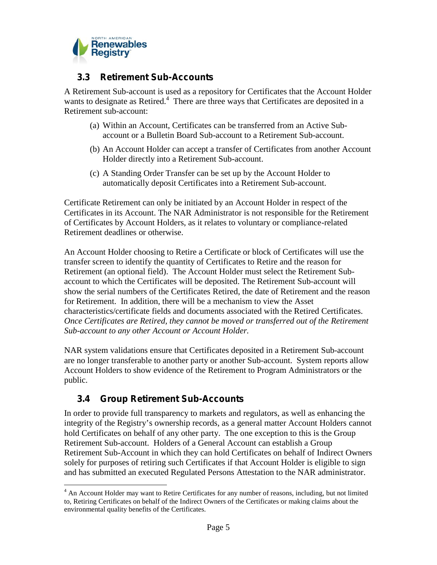

### **3.3 Retirement Sub-Accounts**

A Retirement Sub-account is used as a repository for Certificates that the Account Holder wants to designate as Retired.<sup>4</sup> There are three ways that Certificates are deposited in a Retirement sub-account:

- (a) Within an Account, Certificates can be transferred from an Active Sub account or a Bulletin Board Sub-account to a Retirement Sub-account.
- (b) An Account Holder can accept a transfer of Certificates from another Account Holder directly into a Retirement Sub-account.
- (c) A Standing Order Transfer can be set up by the Account Holder to automatically deposit Certificates into a Retirement Sub-account.

Certificate Retirement can only be initiated by an Account Holder in respect of the Certificates in its Account. The NAR Administrator is not responsible for the Retirement of Certificates by Account Holders, as it relates to voluntary or compliance-related Retirement deadlines or otherwise.

An Account Holder choosing to Retire a Certificate or block of Certificates will use the transfer screen to identify the quantity of Certificates to Retire and the reason for Retirement (an optional field). The Account Holder must select the Retirement Sub account to which the Certificates will be deposited. The Retirement Sub-account will show the serial numbers of the Certificates Retired, the date of Retirement and the reason for Retirement. In addition, there will be a mechanism to view the Asset characteristics/certificate fields and documents associated with the Retired Certificates. *Once Certificates are Retired, they cannot be moved or transferred out of the Retirement Sub-account to any other Account or Account Holder.*

NAR system validations ensure that Certificates deposited in a Retirement Sub-account are no longer transferable to another party or another Sub-account. System reports allow Account Holders to show evidence of the Retirement to Program Administrators or the public.

## **3.4 Group Retirement Sub-Accounts**

In order to provide full transparency to markets and regulators, as well as enhancing the integrity of the Registry's ownership records, as a general matter Account Holders cannot hold Certificates on behalf of any other party. The one exception to this is the Group Retirement Sub-account. Holders of a General Account can establish a Group Retirement Sub-Account in which they can hold Certificates on behalf of Indirect Owners solely for purposes of retiring such Certificates if that Account Holder is eligible to sign and has submitted an executed Regulated Persons Attestation to the NAR administrator.

 $<sup>4</sup>$  An Account Holder may want to Retire Certificates for any number of reasons, including, but not limited</sup> to, Retiring Certificates on behalf of the Indirect Owners of the Certificates or making claims about the environmental quality benefits of the Certificates.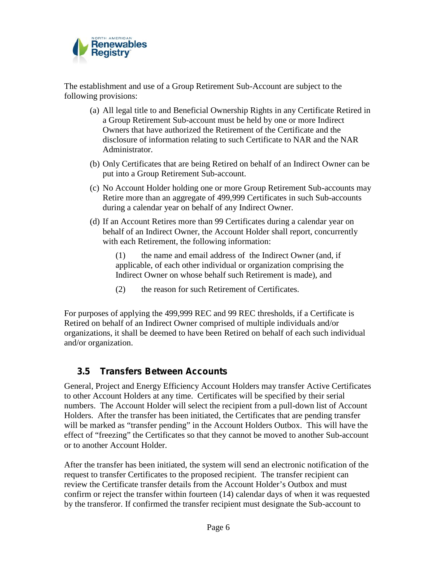

The establishment and use of a Group Retirement Sub-Account are subject to the following provisions:

- (a) All legal title to and Beneficial Ownership Rights in any Certificate Retired in a Group Retirement Sub-account must be held by one or more Indirect Owners that have authorized the Retirement of the Certificate and the disclosure of information relating to such Certificate to NAR and the NAR Administrator.
- (b) Only Certificates that are being Retired on behalf of an Indirect Owner can be put into a Group Retirement Sub-account.
- (c) No Account Holder holding one or more Group Retirement Sub-accounts may Retire more than an aggregate of 499,999 Certificates in such Sub-accounts during a calendar year on behalf of any Indirect Owner.
- (d) If an Account Retires more than 99 Certificates during a calendar year on behalf of an Indirect Owner, the Account Holder shall report, concurrently with each Retirement, the following information:

(1) the name and email address of the Indirect Owner (and, if applicable, of each other individual or organization comprising the Indirect Owner on whose behalf such Retirement is made), and

(2) the reason for such Retirement of Certificates.

For purposes of applying the 499,999 REC and 99 REC thresholds, if a Certificate is Retired on behalf of an Indirect Owner comprised of multiple individuals and/or organizations, it shall be deemed to have been Retired on behalf of each such individual and/or organization.

#### **3.5 Transfers Between Accounts**

General, Project and Energy Efficiency Account Holders may transfer Active Certificates to other Account Holders at any time. Certificates will be specified by their serial numbers. The Account Holder will select the recipient from a pull-down list of Account Holders. After the transfer has been initiated, the Certificates that are pending transfer will be marked as "transfer pending" in the Account Holders Outbox. This will have the effect of "freezing" the Certificates so that they cannot be moved to another Sub-account or to another Account Holder.

After the transfer has been initiated, the system will send an electronic notification of the request to transfer Certificates to the proposed recipient. The transfer recipient can review the Certificate transfer details from the Account Holder's Outbox and must confirm or reject the transfer within fourteen (14) calendar days of when it was requested by the transferor. If confirmed the transfer recipient must designate the Sub-account to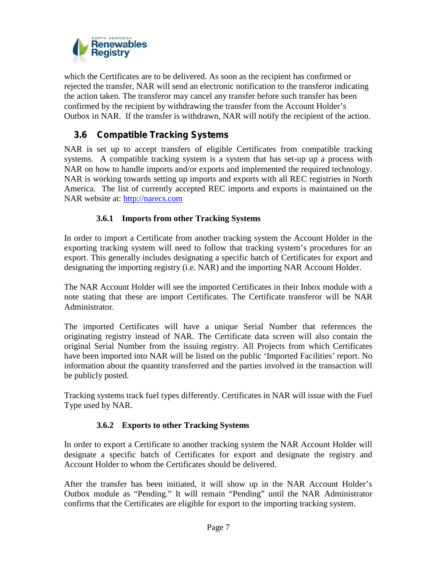

which the Certificates are to be delivered. As soon as the recipient has confirmed or rejected the transfer, NAR will send an electronic notification to the transferor indicating the action taken. The transferor may cancel any transfer before such transfer has been confirmed by the recipient by withdrawing the transfer from the Account Holder's Outbox in NAR. If the transfer is withdrawn, NAR will notify the recipient of the action.

### **3.6 Compatible Tracking Systems**

NAR is set up to accept transfers of eligible Certificates from compatible tracking systems. A compatible tracking system is a system that has set-up up a process with NAR on how to handle imports and/or exports and implemented the required technology. NAR is working towards setting up imports and exports with all REC registries in North America. The list of currently accepted REC imports and exports is maintained on the NAR website at: http://narecs.com

#### **3.6.1 Imports from other Tracking Systems**

In order to import a Certificate from another tracking system the Account Holder in the exporting tracking system will need to follow that tracking system's procedures for an export. This generally includes designating a specific batch of Certificates for export and designating the importing registry (i.e. NAR) and the importing NAR Account Holder.

The NAR Account Holder will see the imported Certificates in their Inbox module with a note stating that these are import Certificates. The Certificate transferor will be NAR Administrator.

The imported Certificates will have a unique Serial Number that references the originating registry instead of NAR. The Certificate data screen will also contain the original Serial Number from the issuing registry. All Projects from which Certificates have been imported into NAR will be listed on the public 'Imported Facilities' report. No information about the quantity transferred and the parties involved in the transaction will be publicly posted.

Tracking systems track fuel types differently. Certificates in NAR will issue with the Fuel Type used by NAR.

#### **3.6.2 Exports to other Tracking Systems**

In order to export a Certificate to another tracking system the NAR Account Holder will designate a specific batch of Certificates for export and designate the registry and Account Holder to whom the Certificates should be delivered.

After the transfer has been initiated, it will show up in the NAR Account Holder's Outbox module as "Pending." It will remain "Pending" until the NAR Administrator confirms that the Certificates are eligible for export to the importing tracking system.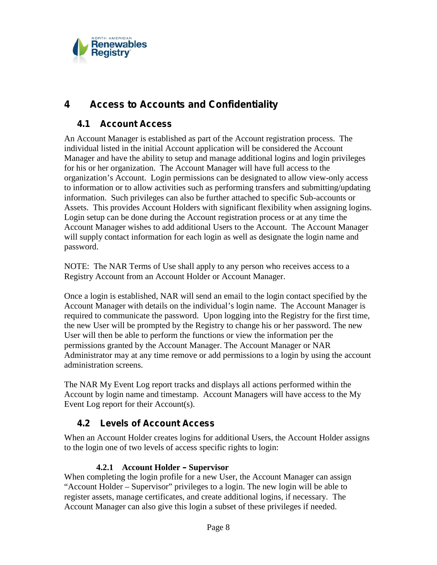

## **4 Access to Accounts and Confidentiality**

### **4.1 Account Access**

An Account Manager is established as part of the Account registration process. The individual listed in the initial Account application will be considered the Account Manager and have the ability to setup and manage additional logins and login privileges for his or her organization. The Account Manager will have full access to the organization's Account. Login permissions can be designated to allow view-only access to information or to allow activities such as performing transfers and submitting/updating information. Such privileges can also be further attached to specific Sub-accounts or Assets. This provides Account Holders with significant flexibility when assigning logins. Login setup can be done during the Account registration process or at any time the Account Manager wishes to add additional Users to the Account. The Account Manager will supply contact information for each login as well as designate the login name and password.

NOTE: The NAR Terms of Use shall apply to any person who receives access to a Registry Account from an Account Holder or Account Manager.

Once a login is established, NAR will send an email to the login contact specified by the Account Manager with details on the individual's login name. The Account Manager is required to communicate the password. Upon logging into the Registry for the first time, the new User will be prompted by the Registry to change his or her password. The new User will then be able to perform the functions or view the information per the permissions granted by the Account Manager. The Account Manager or NAR Administrator may at any time remove or add permissions to a login by using the account administration screens.

The NAR My Event Log report tracks and displays all actions performed within the Account by login name and timestamp. Account Managers will have access to the My Event Log report for their Account(s).

## **4.2 Levels of Account Access**

When an Account Holder creates logins for additional Users, the Account Holder assigns to the login one of two levels of access specific rights to login:

#### **4.2.1 Account Holder – Supervisor**

When completing the login profile for a new User, the Account Manager can assign "Account Holder – Supervisor" privileges to a login. The new login will be able to register assets, manage certificates, and create additional logins, if necessary. The Account Manager can also give this login a subset of these privileges if needed.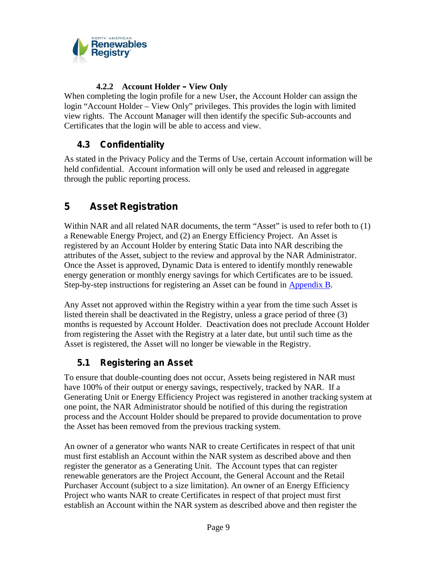

### **4.2.2 Account Holder – View Only**

When completing the login profile for a new User, the Account Holder can assign the login "Account Holder – View Only" privileges. This provides the login with limited view rights. The Account Manager will then identify the specific Sub-accounts and Certificates that the login will be able to access and view.

## **4.3 Confidentiality**

As stated in the Privacy Policy and the Terms of Use, certain Account information will be held confidential. Account information will only be used and released in aggregate through the public reporting process.

## **5 Asset Registration**

Within NAR and all related NAR documents, the term "Asset" is used to refer both to (1) a Renewable Energy Project, and (2) an Energy Efficiency Project. An Asset is registered by an Account Holder by entering Static Data into NAR describing the attributes of the Asset, subject to the review and approval by the NAR Administrator. Once the Asset is approved, Dynamic Data is entered to identify monthly renewable energy generation or monthly energy savings for which Certificates are to be issued. Step-by-step instructions for registering an Asset can be found in Appendix B.

Any Asset not approved within the Registry within a year from the time such Asset is listed therein shall be deactivated in the Registry, unless a grace period of three (3) months is requested by Account Holder. Deactivation does not preclude Account Holder from registering the Asset with the Registry at a later date, but until such time as the Asset is registered, the Asset will no longer be viewable in the Registry.

## **5.1 Registering an Asset**

To ensure that double-counting does not occur, Assets being registered in NAR must have 100% of their output or energy savings, respectively, tracked by NAR. If a Generating Unit or Energy Efficiency Project was registered in another tracking system at one point, the NAR Administrator should be notified of this during the registration process and the Account Holder should be prepared to provide documentation to prove the Asset has been removed from the previous tracking system.

An owner of a generator who wants NAR to create Certificates in respect of that unit must first establish an Account within the NAR system as described above and then register the generator as a Generating Unit. The Account types that can register renewable generators are the Project Account, the General Account and the Retail Purchaser Account (subject to a size limitation). An owner of an Energy Efficiency Project who wants NAR to create Certificates in respect of that project must first establish an Account within the NAR system as described above and then register the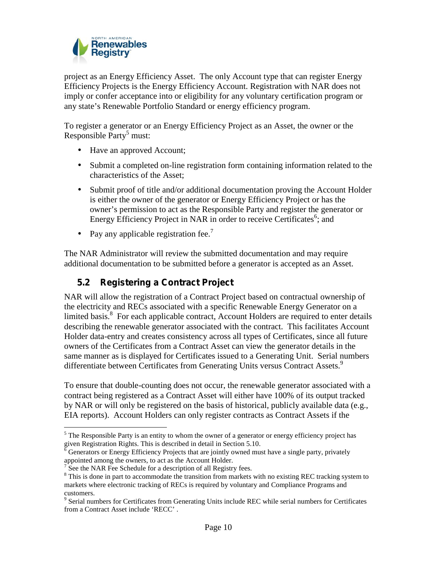

project as an Energy Efficiency Asset. The only Account type that can register Energy Efficiency Projects is the Energy Efficiency Account. Registration with NAR does not imply or confer acceptance into or eligibility for any voluntary certification program or any state's Renewable Portfolio Standard or energy efficiency program.

To register a generator or an Energy Efficiency Project as an Asset, the owner or the Responsible Party<sup>5</sup> must:

- Have an approved Account;
- Submit a completed on-line registration form containing information related to the characteristics of the Asset;
- Submit proof of title and/or additional documentation proving the Account Holder is either the owner of the generator or Energy Efficiency Project or has the owner's permission to act as the Responsible Party and register the generator or Energy Efficiency Project in NAR in order to receive Certificates<sup>6</sup>; and
- Pay any applicable registration fee.<sup>7</sup>

The NAR Administrator will review the submitted documentation and may require additional documentation to be submitted before a generator is accepted as an Asset.

## **5.2 Registering a Contract Project**

NAR will allow the registration of a Contract Project based on contractual ownership of the electricity and RECs associated with a specific Renewable Energy Generator on a limited basis.<sup>8</sup> For each applicable contract, Account Holders are required to enter details describing the renewable generator associated with the contract. This facilitates Account Holder data-entry and creates consistency across all types of Certificates, since all future owners of the Certificates from a Contract Asset can view the generator details in the same manner as is displayed for Certificates issued to a Generating Unit. Serial numbers differentiate between Certificates from Generating Units versus Contract Assets.<sup>9</sup>

To ensure that double-counting does not occur, the renewable generator associated with a contract being registered as a Contract Asset will either have 100% of its output tracked by NAR or will only be registered on the basis of historical, publicly available data (e.g., EIA reports). Account Holders can only register contracts as Contract Assets if the

 $<sup>5</sup>$  The Responsible Party is an entity to whom the owner of a generator or energy efficiency project has</sup> given Registration Rights. This is described in detail in Section 5.10.<br><sup>6</sup> Generators or Energy Efficiency Projects that are jointly owned must have a single party, privately

appointed among the owners, to act as the Account Holder.<br>
<sup>7</sup> See the NAR Fee Schedule for a description of all Registry fees.<br>
<sup>8</sup> This is done in part to accommodate the transition from markets with no existing REC tra markets where electronic tracking of RECs is required by voluntary and Compliance Programs and

customers. <sup>9</sup> Serial numbers for Certificates from Generating Units include REC while serial numbers for Certificates from a Contract Asset include 'RECC' .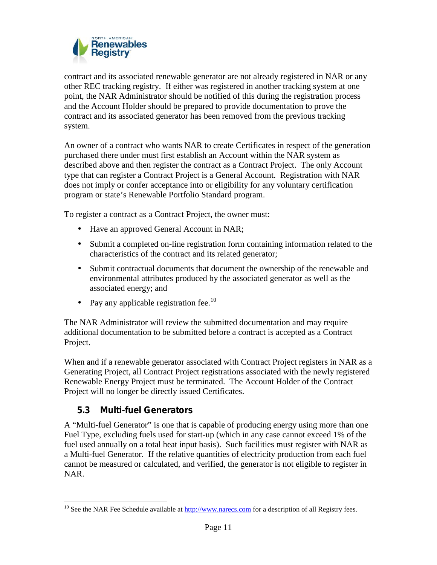

contract and its associated renewable generator are not already registered in NAR or any other REC tracking registry. If either was registered in another tracking system at one point, the NAR Administrator should be notified of this during the registration process and the Account Holder should be prepared to provide documentation to prove the contract and its associated generator has been removed from the previous tracking system.

An owner of a contract who wants NAR to create Certificates in respect of the generation purchased there under must first establish an Account within the NAR system as described above and then register the contract as a Contract Project. The only Account type that can register a Contract Project is a General Account. Registration with NAR does not imply or confer acceptance into or eligibility for any voluntary certification program or state's Renewable Portfolio Standard program.

To register a contract as a Contract Project, the owner must:

- Have an approved General Account in NAR;
- Submit a completed on-line registration form containing information related to the characteristics of the contract and its related generator;
- Submit contractual documents that document the ownership of the renewable and environmental attributes produced by the associated generator as well as the associated energy; and
- Pay any applicable registration fee.<sup>10</sup>

The NAR Administrator will review the submitted documentation and may require additional documentation to be submitted before a contract is accepted as a Contract Project.

When and if a renewable generator associated with Contract Project registers in NAR as a Generating Project, all Contract Project registrations associated with the newly registered Renewable Energy Project must be terminated. The Account Holder of the Contract Project will no longer be directly issued Certificates.

### **5.3 Multi-fuel Generators**

A "Multi-fuel Generator" is one that is capable of producing energy using more than one Fuel Type, excluding fuels used for start-up (which in any case cannot exceed 1% of the fuel used annually on a total heat input basis). Such facilities must register with NAR as a Multi-fuel Generator. If the relative quantities of electricity production from each fuel cannot be measured or calculated, and verified, the generator is not eligible to register in NAR.

<sup>&</sup>lt;sup>10</sup> See the NAR Fee Schedule available at  $\frac{http://www.nares.com}{http://www.nares.com}$  for a description of all Registry fees.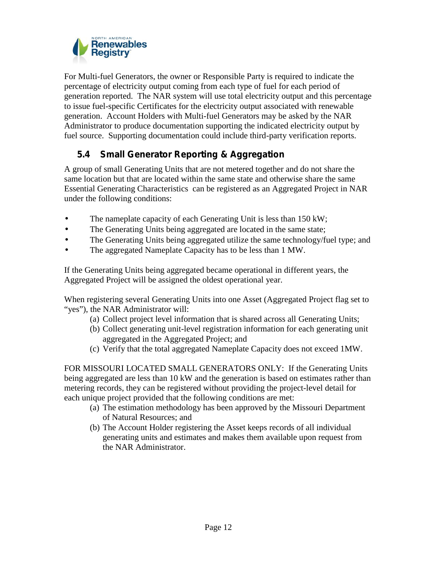

For Multi-fuel Generators, the owner or Responsible Party is required to indicate the percentage of electricity output coming from each type of fuel for each period of generation reported. The NAR system will use total electricity output and this percentage to issue fuel-specific Certificates for the electricity output associated with renewable generation. Account Holders with Multi-fuel Generators may be asked by the NAR Administrator to produce documentation supporting the indicated electricity output by fuel source. Supporting documentation could include third-party verification reports.

## **5.4 Small Generator Reporting & Aggregation**

A group of small Generating Units that are not metered together and do not share the same location but that are located within the same state and otherwise share the same Essential Generating Characteristics can be registered as an Aggregated Project in NAR under the following conditions:

The nameplate capacity of each Generating Unit is less than 150 kW;

The Generating Units being aggregated are located in the same state;<br>The Generating Units being aggregated utilize the same technology/fi

The Generating Units being aggregated utilize the same technology/fuel type; and

The aggregated Nameplate Capacity has to be less than 1 MW.

If the Generating Units being aggregated became operational in different years, the Aggregated Project will be assigned the oldest operational year.

When registering several Generating Units into one Asset (Aggregated Project flag set to "yes"), the NAR Administrator will:

- (a) Collect project level information that is shared across all Generating Units;
- (b) Collect generating unit-level registration information for each generating unit aggregated in the Aggregated Project; and
- (c) Verify that the total aggregated Nameplate Capacity does not exceed 1MW.

FOR MISSOURI LOCATED SMALL GENERATORS ONLY: If the Generating Units being aggregated are less than 10 kW and the generation is based on estimates rather than metering records, they can be registered without providing the project-level detail for each unique project provided that the following conditions are met:

- (a) The estimation methodology has been approved by the Missouri Department of Natural Resources; and
- (b) The Account Holder registering the Asset keeps records of all individual generating units and estimates and makes them available upon request from the NAR Administrator.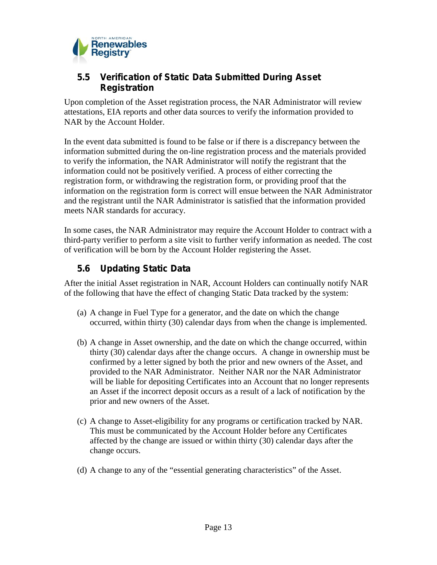

### **5.5 Verification of Static Data Submitted During Asset Registration**

Upon completion of the Asset registration process, the NAR Administrator will review attestations, EIA reports and other data sources to verify the information provided to NAR by the Account Holder.

In the event data submitted is found to be false or if there is a discrepancy between the information submitted during the on-line registration process and the materials provided to verify the information, the NAR Administrator will notify the registrant that the information could not be positively verified. A process of either correcting the registration form, or withdrawing the registration form, or providing proof that the information on the registration form is correct will ensue between the NAR Administrator and the registrant until the NAR Administrator is satisfied that the information provided meets NAR standards for accuracy.

In some cases, the NAR Administrator may require the Account Holder to contract with a third-party verifier to perform a site visit to further verify information as needed. The cost of verification will be born by the Account Holder registering the Asset.

### **5.6 Updating Static Data**

After the initial Asset registration in NAR, Account Holders can continually notify NAR of the following that have the effect of changing Static Data tracked by the system:

- (a) A change in Fuel Type for a generator, and the date on which the change occurred, within thirty (30) calendar days from when the change is implemented.
- (b) A change in Asset ownership, and the date on which the change occurred, within thirty (30) calendar days after the change occurs. A change in ownership must be confirmed by a letter signed by both the prior and new owners of the Asset, and provided to the NAR Administrator. Neither NAR nor the NAR Administrator will be liable for depositing Certificates into an Account that no longer represents an Asset if the incorrect deposit occurs as a result of a lack of notification by the prior and new owners of the Asset.
- (c) A change to Asset-eligibility for any programs or certification tracked by NAR. This must be communicated by the Account Holder before any Certificates affected by the change are issued or within thirty (30) calendar days after the change occurs.
- (d) A change to any of the "essential generating characteristics" of the Asset.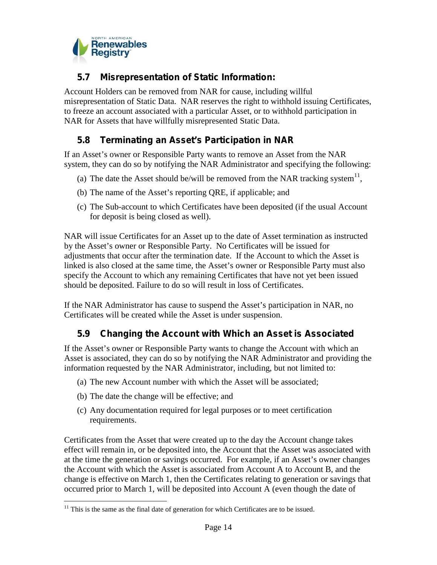

### **5.7 Misrepresentation of Static Information:**

Account Holders can be removed from NAR for cause, including willful misrepresentation of Static Data. NAR reserves the right to withhold issuing Certificates, to freeze an account associated with a particular Asset, or to withhold participation in NAR for Assets that have willfully misrepresented Static Data.

### **5.8 Terminating an Asset's Participation in NAR**

If an Asset's owner or Responsible Party wants to remove an Asset from the NAR system, they can do so by notifying the NAR Administrator and specifying the following:

- (a) The date the Asset should be/will be removed from the NAR tracking system<sup>11</sup>,
- (b) The name of the Asset's reporting QRE, if applicable; and
- (c) The Sub-account to which Certificates have been deposited (if the usual Account for deposit is being closed as well).

NAR will issue Certificates for an Asset up to the date of Asset termination as instructed by the Asset's owner or Responsible Party. No Certificates will be issued for adjustments that occur after the termination date. If the Account to which the Asset is linked is also closed at the same time, the Asset's owner or Responsible Party must also specify the Account to which any remaining Certificates that have not yet been issued should be deposited. Failure to do so will result in loss of Certificates.

If the NAR Administrator has cause to suspend the Asset's participation in NAR, no Certificates will be created while the Asset is under suspension.

## **5.9 Changing the Account with Which an Asset is Associated**

If the Asset's owner or Responsible Party wants to change the Account with which an Asset is associated, they can do so by notifying the NAR Administrator and providing the information requested by the NAR Administrator, including, but not limited to:

- (a) The new Account number with which the Asset will be associated;
- (b) The date the change will be effective; and
- (c) Any documentation required for legal purposes or to meet certification requirements.

Certificates from the Asset that were created up to the day the Account change takes effect will remain in, or be deposited into, the Account that the Asset was associated with at the time the generation or savings occurred. For example, if an Asset's owner changes the Account with which the Asset is associated from Account A to Account B, and the change is effective on March 1, then the Certificates relating to generation or savings that occurred prior to March 1, will be deposited into Account A (even though the date of

 $11$  This is the same as the final date of generation for which Certificates are to be issued.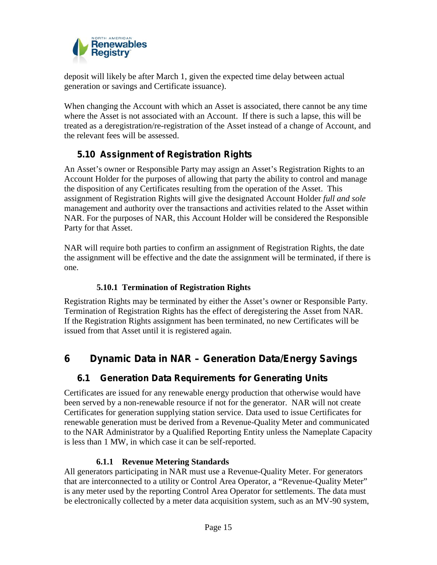

deposit will likely be after March 1, given the expected time delay between actual generation or savings and Certificate issuance).

When changing the Account with which an Asset is associated, there cannot be any time where the Asset is not associated with an Account. If there is such a lapse, this will be treated as a deregistration/re-registration of the Asset instead of a change of Account, and the relevant fees will be assessed.

## **5.10 Assignment of Registration Rights**

An Asset's owner or Responsible Party may assign an Asset's Registration Rights to an Account Holder for the purposes of allowing that party the ability to control and manage the disposition of any Certificates resulting from the operation of the Asset. This assignment of Registration Rights will give the designated Account Holder *full and sole* management and authority over the transactions and activities related to the Asset within NAR. For the purposes of NAR, this Account Holder will be considered the Responsible Party for that Asset.

NAR will require both parties to confirm an assignment of Registration Rights, the date the assignment will be effective and the date the assignment will be terminated, if there is one.

#### **5.10.1 Termination of Registration Rights**

Registration Rights may be terminated by either the Asset's owner or Responsible Party. Termination of Registration Rights has the effect of deregistering the Asset from NAR. If the Registration Rights assignment has been terminated, no new Certificates will be issued from that Asset until it is registered again.

## **6 Dynamic Data in NAR – Generation Data/Energy Savings**

## **6.1 Generation Data Requirements for Generating Units**

Certificates are issued for any renewable energy production that otherwise would have been served by a non-renewable resource if not for the generator. NAR will not create Certificates for generation supplying station service. Data used to issue Certificates for renewable generation must be derived from a Revenue-Quality Meter and communicated to the NAR Administrator by a Qualified Reporting Entity unless the Nameplate Capacity is less than 1 MW, in which case it can be self-reported.

#### **6.1.1 Revenue Metering Standards**

All generators participating in NAR must use a Revenue-Quality Meter. For generators that are interconnected to a utility or Control Area Operator, a "Revenue-Quality Meter" is any meter used by the reporting Control Area Operator for settlements. The data must be electronically collected by a meter data acquisition system, such as an MV-90 system,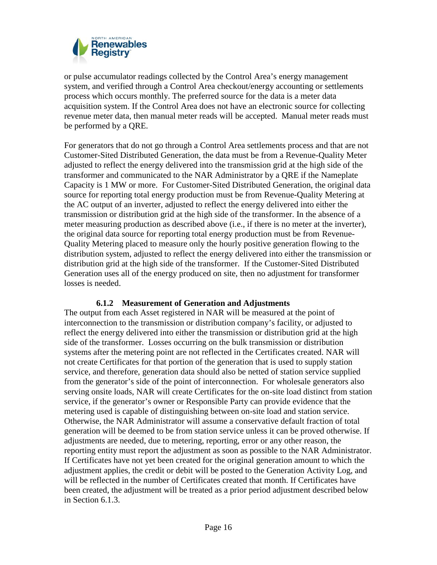

or pulse accumulator readings collected by the Control Area's energy management system, and verified through a Control Area checkout/energy accounting or settlements process which occurs monthly. The preferred source for the data is a meter data acquisition system. If the Control Area does not have an electronic source for collecting revenue meter data, then manual meter reads will be accepted. Manual meter reads must be performed by a QRE.

For generators that do not go through a Control Area settlements process and that are not Customer-Sited Distributed Generation, the data must be from a Revenue-Quality Meter adjusted to reflect the energy delivered into the transmission grid at the high side of the transformer and communicated to the NAR Administrator by a QRE if the Nameplate Capacity is 1 MW or more. For Customer-Sited Distributed Generation, the original data source for reporting total energy production must be from Revenue-Quality Metering at the AC output of an inverter, adjusted to reflect the energy delivered into either the transmission or distribution grid at the high side of the transformer. In the absence of a meter measuring production as described above (i.e., if there is no meter at the inverter), the original data source for reporting total energy production must be from Revenue- Quality Metering placed to measure only the hourly positive generation flowing to the distribution system, adjusted to reflect the energy delivered into either the transmission or distribution grid at the high side of the transformer. If the Customer-Sited Distributed Generation uses all of the energy produced on site, then no adjustment for transformer losses is needed.

#### **6.1.2 Measurement of Generation and Adjustments**

The output from each Asset registered in NAR will be measured at the point of interconnection to the transmission or distribution company's facility, or adjusted to reflect the energy delivered into either the transmission or distribution grid at the high side of the transformer. Losses occurring on the bulk transmission or distribution systems after the metering point are not reflected in the Certificates created. NAR will not create Certificates for that portion of the generation that is used to supply station service, and therefore, generation data should also be netted of station service supplied from the generator's side of the point of interconnection. For wholesale generators also serving onsite loads, NAR will create Certificates for the on-site load distinct from station service, if the generator's owner or Responsible Party can provide evidence that the metering used is capable of distinguishing between on-site load and station service. Otherwise, the NAR Administrator will assume a conservative default fraction of total generation will be deemed to be from station service unless it can be proved otherwise. If adjustments are needed, due to metering, reporting, error or any other reason, the reporting entity must report the adjustment as soon as possible to the NAR Administrator. If Certificates have not yet been created for the original generation amount to which the adjustment applies, the credit or debit will be posted to the Generation Activity Log, and will be reflected in the number of Certificates created that month. If Certificates have been created, the adjustment will be treated as a prior period adjustment described below in Section 6.1.3.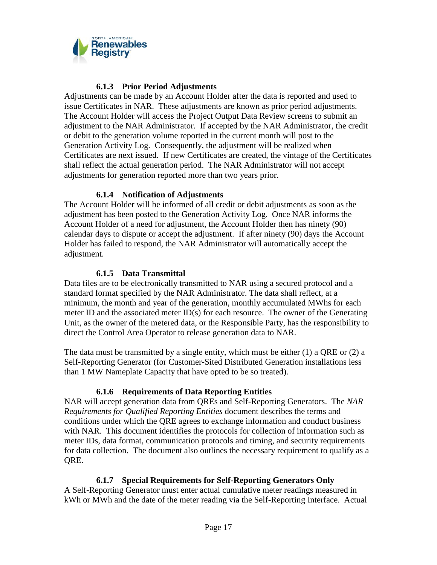

#### **6.1.3 Prior Period Adjustments**

Adjustments can be made by an Account Holder after the data is reported and used to issue Certificates in NAR. These adjustments are known as prior period adjustments. The Account Holder will access the Project Output Data Review screens to submit an adjustment to the NAR Administrator. If accepted by the NAR Administrator, the credit or debit to the generation volume reported in the current month will post to the Generation Activity Log. Consequently, the adjustment will be realized when Certificates are next issued. If new Certificates are created, the vintage of the Certificates shall reflect the actual generation period. The NAR Administrator will not accept adjustments for generation reported more than two years prior.

#### **6.1.4 Notification of Adjustments**

The Account Holder will be informed of all credit or debit adjustments as soon as the adjustment has been posted to the Generation Activity Log. Once NAR informs the Account Holder of a need for adjustment, the Account Holder then has ninety (90) calendar days to dispute or accept the adjustment. If after ninety (90) days the Account Holder has failed to respond, the NAR Administrator will automatically accept the adjustment.

#### **6.1.5 Data Transmittal**

Data files are to be electronically transmitted to NAR using a secured protocol and a standard format specified by the NAR Administrator. The data shall reflect, at a minimum, the month and year of the generation, monthly accumulated MWhs for each meter ID and the associated meter ID(s) for each resource. The owner of the Generating Unit, as the owner of the metered data, or the Responsible Party, has the responsibility to direct the Control Area Operator to release generation data to NAR.

The data must be transmitted by a single entity, which must be either  $(1)$  a QRE or  $(2)$  a Self-Reporting Generator (for Customer-Sited Distributed Generation installations less than 1 MW Nameplate Capacity that have opted to be so treated).

#### **6.1.6 Requirements of Data Reporting Entities**

NAR will accept generation data from QREs and Self-Reporting Generators. The *NAR Requirements for Qualified Reporting Entities* document describes the terms and conditions under which the QRE agrees to exchange information and conduct business with NAR. This document identifies the protocols for collection of information such as meter IDs, data format, communication protocols and timing, and security requirements for data collection. The document also outlines the necessary requirement to qualify as a QRE.

#### **6.1.7 Special Requirements for Self-Reporting Generators Only**

A Self-Reporting Generator must enter actual cumulative meter readings measured in kWh or MWh and the date of the meter reading via the Self-Reporting Interface. Actual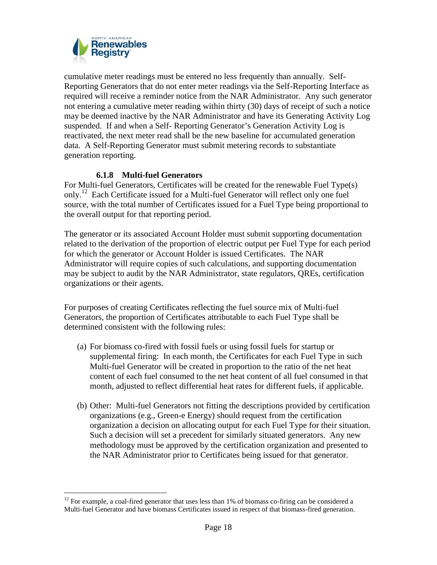

cumulative meter readings must be entered no less frequently than annually. Self- Reporting Generators that do not enter meter readings via the Self-Reporting Interface as required will receive a reminder notice from the NAR Administrator. Any such generator not entering a cumulative meter reading within thirty (30) days of receipt of such a notice may be deemed inactive by the NAR Administrator and have its Generating Activity Log suspended. If and when a Self- Reporting Generator's Generation Activity Log is reactivated, the next meter read shall be the new baseline for accumulated generation data. A Self-Reporting Generator must submit metering records to substantiate generation reporting.

#### **6.1.8 Multi-fuel Generators**

For Multi-fuel Generators, Certificates will be created for the renewable Fuel Type(s) only.<sup>12</sup> Each Certificate issued for a Multi-fuel Generator will reflect only one fuel source, with the total number of Certificates issued for a Fuel Type being proportional to the overall output for that reporting period.

The generator or its associated Account Holder must submit supporting documentation related to the derivation of the proportion of electric output per Fuel Type for each period for which the generator or Account Holder is issued Certificates. The NAR Administrator will require copies of such calculations, and supporting documentation may be subject to audit by the NAR Administrator, state regulators, QREs, certification organizations or their agents.

For purposes of creating Certificates reflecting the fuel source mix of Multi-fuel Generators, the proportion of Certificates attributable to each Fuel Type shall be determined consistent with the following rules:

- (a) For biomass co-fired with fossil fuels or using fossil fuels for startup or supplemental firing: In each month, the Certificates for each Fuel Type in such Multi-fuel Generator will be created in proportion to the ratio of the net heat content of each fuel consumed to the net heat content of all fuel consumed in that month, adjusted to reflect differential heat rates for different fuels, if applicable.
- (b) Other: Multi-fuel Generators not fitting the descriptions provided by certification organizations (e.g., Green-e Energy) should request from the certification organization a decision on allocating output for each Fuel Type for their situation. Such a decision will set a precedent for similarly situated generators. Any new methodology must be approved by the certification organization and presented to the NAR Administrator prior to Certificates being issued for that generator.

 $12$  For example, a coal-fired generator that uses less than 1% of biomass co-firing can be considered a Multi-fuel Generator and have biomass Certificates issued in respect of that biomass-fired generation.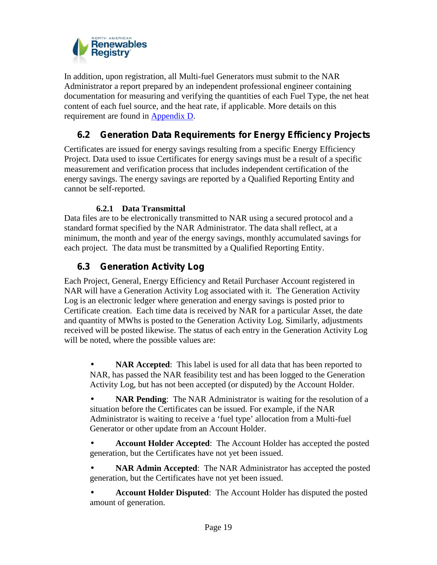

In addition, upon registration, all Multi-fuel Generators must submit to the NAR Administrator a report prepared by an independent professional engineer containing documentation for measuring and verifying the quantities of each Fuel Type, the net heat content of each fuel source, and the heat rate, if applicable. More details on this requirement are found in Appendix D.

### **6.2 Generation Data Requirements for Energy Efficiency Projects**

Certificates are issued for energy savings resulting from a specific Energy Efficiency Project. Data used to issue Certificates for energy savings must be a result of a specific measurement and verification process that includes independent certification of the energy savings. The energy savings are reported by a Qualified Reporting Entity and cannot be self-reported.

#### **6.2.1 Data Transmittal**

Data files are to be electronically transmitted to NAR using a secured protocol and a standard format specified by the NAR Administrator. The data shall reflect, at a minimum, the month and year of the energy savings, monthly accumulated savings for each project. The data must be transmitted by a Qualified Reporting Entity.

### **6.3 Generation Activity Log**

Each Project, General, Energy Efficiency and Retail Purchaser Account registered in NAR will have a Generation Activity Log associated with it. The Generation Activity Log is an electronic ledger where generation and energy savings is posted prior to Certificate creation. Each time data is received by NAR for a particular Asset, the date and quantity of MWhs is posted to the Generation Activity Log. Similarly, adjustments received will be posted likewise. The status of each entry in the Generation Activity Log will be noted, where the possible values are:

 **NAR Accepted**: This label is used for all data that has been reported to NAR, has passed the NAR feasibility test and has been logged to the Generation Activity Log, but has not been accepted (or disputed) by the Account Holder.

 **NAR Pending**: The NAR Administrator is waiting for the resolution of a situation before the Certificates can be issued. For example, if the NAR Administrator is waiting to receive a 'fuel type' allocation from a Multi-fuel Generator or other update from an Account Holder.

 **Account Holder Accepted**: The Account Holder has accepted the posted generation, but the Certificates have not yet been issued.

 **NAR Admin Accepted**: The NAR Administrator has accepted the posted generation, but the Certificates have not yet been issued.

 **Account Holder Disputed**: The Account Holder has disputed the posted amount of generation.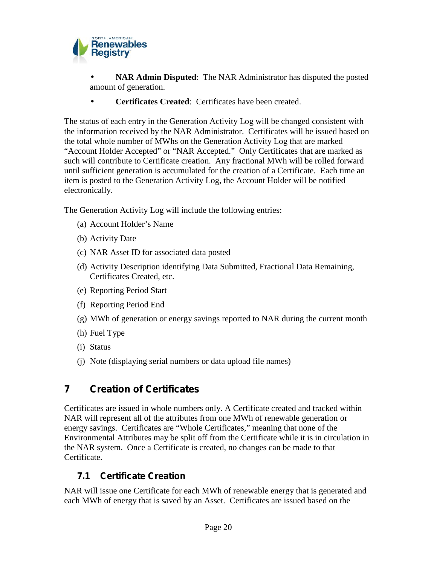

 **NAR Admin Disputed**: The NAR Administrator has disputed the posted amount of generation.

**Certificates Created**: Certificates have been created.

The status of each entry in the Generation Activity Log will be changed consistent with the information received by the NAR Administrator. Certificates will be issued based on the total whole number of MWhs on the Generation Activity Log that are marked "Account Holder Accepted" or "NAR Accepted." Only Certificates that are marked as such will contribute to Certificate creation. Any fractional MWh will be rolled forward until sufficient generation is accumulated for the creation of a Certificate. Each time an item is posted to the Generation Activity Log, the Account Holder will be notified electronically.

The Generation Activity Log will include the following entries:

- (a) Account Holder's Name
- (b) Activity Date
- (c) NAR Asset ID for associated data posted
- (d) Activity Description identifying Data Submitted, Fractional Data Remaining, Certificates Created, etc.
- (e) Reporting Period Start
- (f) Reporting Period End
- (g) MWh of generation or energy savings reported to NAR during the current month
- (h) Fuel Type
- (i) Status
- (j) Note (displaying serial numbers or data upload file names)

## **7 Creation of Certificates**

Certificates are issued in whole numbers only. A Certificate created and tracked within NAR will represent all of the attributes from one MWh of renewable generation or energy savings. Certificates are "Whole Certificates," meaning that none of the Environmental Attributes may be split off from the Certificate while it is in circulation in the NAR system. Once a Certificate is created, no changes can be made to that Certificate.

## **7.1 Certificate Creation**

NAR will issue one Certificate for each MWh of renewable energy that is generated and each MWh of energy that is saved by an Asset. Certificates are issued based on the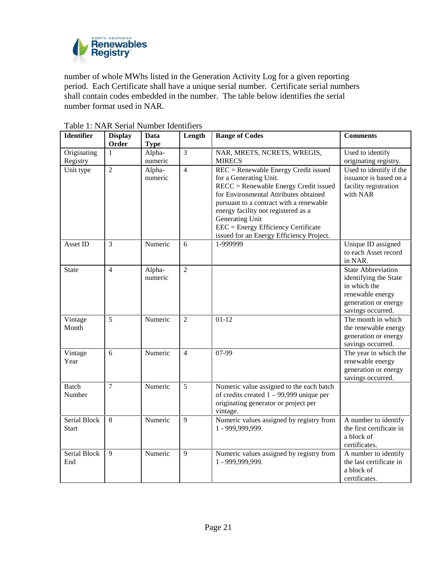

number of whole MWhs listed in the Generation Activity Log for a given reporting period. Each Certificate shall have a unique serial number. Certificate serial numbers shall contain codes embedded in the number. The table below identifies the serial number format used in NAR.

| <b>Identifier</b>            | <b>Display</b><br>Order | <b>Data</b><br><b>Type</b> | Length         | <b>Range of Codes</b>                                                                                                                                                                                                                                                                                                                      | <b>Comments</b>                                                                                                                     |
|------------------------------|-------------------------|----------------------------|----------------|--------------------------------------------------------------------------------------------------------------------------------------------------------------------------------------------------------------------------------------------------------------------------------------------------------------------------------------------|-------------------------------------------------------------------------------------------------------------------------------------|
| Originating<br>Registry      | 1                       | Alpha-<br>numeric          | $\overline{3}$ | NAR, MRETS, NCRETS, WREGIS,<br><b>MIRECS</b>                                                                                                                                                                                                                                                                                               | Used to identify<br>originating registry.                                                                                           |
| Unit type                    | $\overline{2}$          | Alpha-<br>numeric          | $\overline{4}$ | REC = Renewable Energy Credit issued<br>for a Generating Unit.<br>$RECC =$ Renewable Energy Credit issued<br>for Environmental Attributes obtained<br>pursuant to a contract with a renewable<br>energy facility not registered as a<br>Generating Unit<br>EEC = Energy Efficiency Certificate<br>issued for an Energy Efficiency Project. | Used to identify if the<br>issuance is based on a<br>facility registration<br>with NAR                                              |
| Asset ID                     | 3                       | Numeric                    | 6              | 1-999999                                                                                                                                                                                                                                                                                                                                   | Unique ID assigned<br>to each Asset record<br>in NAR.                                                                               |
| <b>State</b>                 | $\overline{4}$          | Alpha-<br>numeric          | $\overline{2}$ |                                                                                                                                                                                                                                                                                                                                            | <b>State Abbreviation</b><br>identifying the State<br>in which the<br>renewable energy<br>generation or energy<br>savings occurred. |
| Vintage<br>Month             | 5                       | Numeric                    | $\overline{2}$ | $01 - 12$                                                                                                                                                                                                                                                                                                                                  | The month in which<br>the renewable energy<br>generation or energy<br>savings occurred.                                             |
| Vintage<br>Year              | $\overline{6}$          | Numeric                    | $\overline{4}$ | 07-99                                                                                                                                                                                                                                                                                                                                      | The year in which the<br>renewable energy<br>generation or energy<br>savings occurred.                                              |
| <b>Batch</b><br>Number       | $\overline{7}$          | Numeric                    | 5              | Numeric value assigned to the each batch<br>of credits created $1 - 99,999$ unique per<br>originating generator or project per<br>vintage.                                                                                                                                                                                                 |                                                                                                                                     |
| Serial Block<br><b>Start</b> | 8                       | Numeric                    | 9              | Numeric values assigned by registry from<br>1 - 999,999,999.                                                                                                                                                                                                                                                                               | A number to identify<br>the first certificate in<br>a block of<br>certificates.                                                     |
| Serial Block<br>End          | 9                       | Numeric                    | 9              | Numeric values assigned by registry from<br>1 - 999,999,999.                                                                                                                                                                                                                                                                               | A number to identify<br>the last certificate in<br>a block of<br>certificates.                                                      |

Table 1: NAR Serial Number Identifiers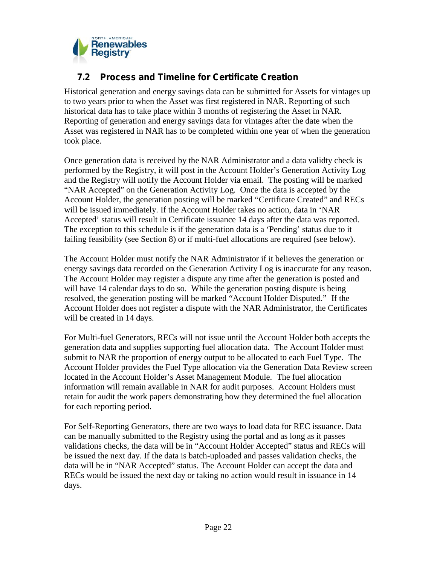

### **7.2 Process and Timeline for Certificate Creation**

Historical generation and energy savings data can be submitted for Assets for vintages up to two years prior to when the Asset was first registered in NAR. Reporting of such historical data has to take place within 3 months of registering the Asset in NAR. Reporting of generation and energy savings data for vintages after the date when the Asset was registered in NAR has to be completed within one year of when the generation took place.

Once generation data is received by the NAR Administrator and a data validty check is performed by the Registry, it will post in the Account Holder's Generation Activity Log and the Registry will notify the Account Holder via email. The posting will be marked "NAR Accepted" on the Generation Activity Log. Once the data is accepted by the Account Holder, the generation posting will be marked "Certificate Created" and RECs will be issued immediately. If the Account Holder takes no action, data in 'NAR Accepted' status will result in Certificate issuance 14 days after the data was reported. The exception to this schedule is if the generation data is a 'Pending' status due to it failing feasibility (see Section 8) or if multi-fuel allocations are required (see below).

The Account Holder must notify the NAR Administrator if it believes the generation or energy savings data recorded on the Generation Activity Log is inaccurate for any reason. The Account Holder may register a dispute any time after the generation is posted and will have 14 calendar days to do so. While the generation posting dispute is being resolved, the generation posting will be marked "Account Holder Disputed." If the Account Holder does not register a dispute with the NAR Administrator, the Certificates will be created in 14 days.

For Multi-fuel Generators, RECs will not issue until the Account Holder both accepts the generation data and supplies supporting fuel allocation data. The Account Holder must submit to NAR the proportion of energy output to be allocated to each Fuel Type. The Account Holder provides the Fuel Type allocation via the Generation Data Review screen located in the Account Holder's Asset Management Module. The fuel allocation information will remain available in NAR for audit purposes. Account Holders must retain for audit the work papers demonstrating how they determined the fuel allocation for each reporting period.

For Self-Reporting Generators, there are two ways to load data for REC issuance. Data can be manually submitted to the Registry using the portal and as long as it passes validations checks, the data will be in "Account Holder Accepted" status and RECs will be issued the next day. If the data is batch-uploaded and passes validation checks, the data will be in "NAR Accepted" status. The Account Holder can accept the data and RECs would be issued the next day or taking no action would result in issuance in 14 days.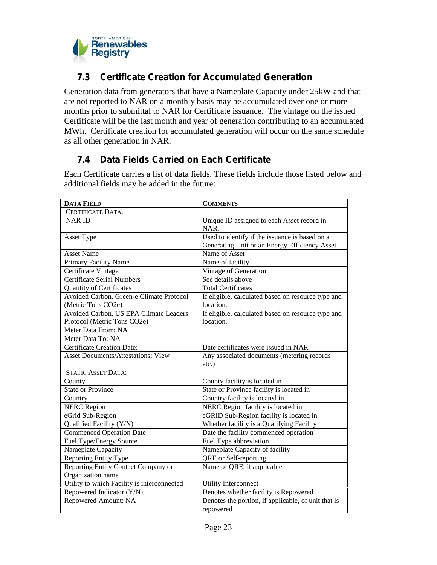

### **7.3 Certificate Creation for Accumulated Generation**

Generation data from generators that have a Nameplate Capacity under 25kW and that are not reported to NAR on a monthly basis may be accumulated over one or more months prior to submittal to NAR for Certificate issuance. The vintage on the issued Certificate will be the last month and year of generation contributing to an accumulated MWh. Certificate creation for accumulated generation will occur on the same schedule as all other generation in NAR.

## **7.4 Data Fields Carried on Each Certificate**

Each Certificate carries a list of data fields. These fields include those listed below and additional fields may be added in the future:

| <b>DATA FIELD</b>                                        | <b>COMMENTS</b>                                                                                 |
|----------------------------------------------------------|-------------------------------------------------------------------------------------------------|
| <b>CERTIFICATE DATA:</b>                                 |                                                                                                 |
| <b>NARID</b>                                             | Unique ID assigned to each Asset record in<br>NAR.                                              |
| Asset Type                                               | Used to identify if the issuance is based on a<br>Generating Unit or an Energy Efficiency Asset |
| <b>Asset Name</b>                                        | Name of Asset                                                                                   |
| Primary Facility Name                                    | Name of facility                                                                                |
| Certificate Vintage                                      | Vintage of Generation                                                                           |
| <b>Certificate Serial Numbers</b>                        | See details above                                                                               |
| <b>Quantity of Certificates</b>                          | <b>Total Certificates</b>                                                                       |
| Avoided Carbon, Green-e Climate Protocol                 | If eligible, calculated based on resource type and                                              |
| (Metric Tons CO2e)                                       | location.                                                                                       |
| Avoided Carbon, US EPA Climate Leaders                   | If eligible, calculated based on resource type and                                              |
| Protocol (Metric Tons CO2e)                              | location.                                                                                       |
| Meter Data From: NA                                      |                                                                                                 |
| Meter Data To: NA                                        |                                                                                                 |
| <b>Certificate Creation Date:</b>                        | Date certificates were issued in NAR                                                            |
| <b>Asset Documents/Attestations: View</b>                | Any associated documents (metering records                                                      |
|                                                          | $etc.$ )                                                                                        |
| <b>STATIC ASSET DATA:</b>                                |                                                                                                 |
| County                                                   | County facility is located in                                                                   |
| <b>State or Province</b>                                 | State or Province facility is located in                                                        |
| Country                                                  | Country facility is located in                                                                  |
| <b>NERC Region</b>                                       | NERC Region facility is located in                                                              |
| eGrid Sub-Region                                         | eGRID Sub-Region facility is located in                                                         |
| Qualified Facility (Y/N)                                 | Whether facility is a Qualifying Facility                                                       |
| <b>Commenced Operation Date</b>                          | Date the facility commenced operation                                                           |
| Fuel Type/Energy Source                                  | Fuel Type abbreviation                                                                          |
| Nameplate Capacity                                       | Nameplate Capacity of facility                                                                  |
| <b>Reporting Entity Type</b>                             | QRE or Self-reporting                                                                           |
| Reporting Entity Contact Company or<br>Organization name | Name of QRE, if applicable                                                                      |
| Utility to which Facility is interconnected              | <b>Utility Interconnect</b>                                                                     |
| Repowered Indicator (Y/N)                                | Denotes whether facility is Repowered                                                           |
| Repowered Amount: NA                                     | Denotes the portion, if applicable, of unit that is<br>repowered                                |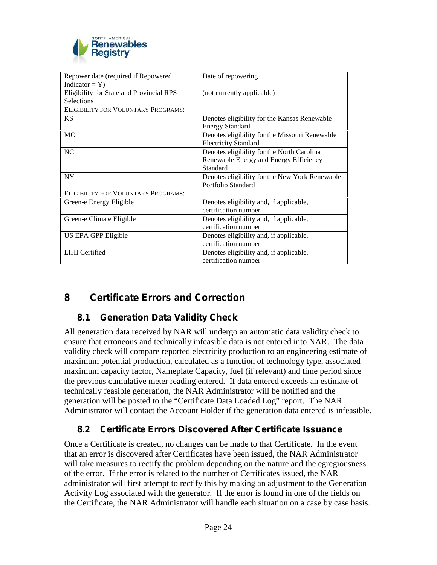

| Date of repowering                             |
|------------------------------------------------|
|                                                |
| (not currently applicable)                     |
|                                                |
|                                                |
| Denotes eligibility for the Kansas Renewable   |
| <b>Energy Standard</b>                         |
| Denotes eligibility for the Missouri Renewable |
| <b>Electricity Standard</b>                    |
| Denotes eligibility for the North Carolina     |
| Renewable Energy and Energy Efficiency         |
| Standard                                       |
| Denotes eligibility for the New York Renewable |
| Portfolio Standard                             |
|                                                |
| Denotes eligibility and, if applicable,        |
| certification number                           |
| Denotes eligibility and, if applicable,        |
| certification number                           |
| Denotes eligibility and, if applicable,        |
| certification number                           |
| Denotes eligibility and, if applicable,        |
| certification number                           |
|                                                |

## **8 Certificate Errors and Correction**

## **8.1 Generation Data Validity Check**

All generation data received by NAR will undergo an automatic data validity check to ensure that erroneous and technically infeasible data is not entered into NAR. The data validity check will compare reported electricity production to an engineering estimate of maximum potential production, calculated as a function of technology type, associated maximum capacity factor, Nameplate Capacity, fuel (if relevant) and time period since the previous cumulative meter reading entered. If data entered exceeds an estimate of technically feasible generation, the NAR Administrator will be notified and the generation will be posted to the "Certificate Data Loaded Log" report. The NAR Administrator will contact the Account Holder if the generation data entered is infeasible.

## **8.2 Certificate Errors Discovered After Certificate Issuance**

Once a Certificate is created, no changes can be made to that Certificate. In the event that an error is discovered after Certificates have been issued, the NAR Administrator will take measures to rectify the problem depending on the nature and the egregiousness of the error. If the error is related to the number of Certificates issued, the NAR administrator will first attempt to rectify this by making an adjustment to the Generation Activity Log associated with the generator. If the error is found in one of the fields on the Certificate, the NAR Administrator will handle each situation on a case by case basis.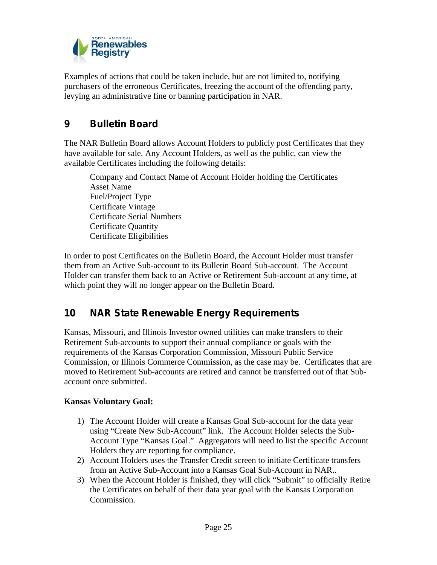

Examples of actions that could be taken include, but are not limited to, notifying purchasers of the erroneous Certificates, freezing the account of the offending party, levying an administrative fine or banning participation in NAR.

## **9 Bulletin Board**

The NAR Bulletin Board allows Account Holders to publicly post Certificates that they have available for sale. Any Account Holders, as well as the public, can view the available Certificates including the following details:

Company and Contact Name of Account Holder holding the Certificates Asset Name Fuel/Project Type Certificate Vintage Certificate Serial Numbers Certificate Quantity Certificate Eligibilities

In order to post Certificates on the Bulletin Board, the Account Holder must transfer them from an Active Sub-account to its Bulletin Board Sub-account. The Account Holder can transfer them back to an Active or Retirement Sub-account at any time, at which point they will no longer appear on the Bulletin Board.

## **10 NAR State Renewable Energy Requirements**

Kansas, Missouri, and Illinois Investor owned utilities can make transfers to their Retirement Sub-accounts to support their annual compliance or goals with the requirements of the Kansas Corporation Commission, Missouri Public Service Commission, or Illinois Commerce Commission, as the case may be. Certificates that are moved to Retirement Sub-accounts are retired and cannot be transferred out of that Sub account once submitted.

#### **Kansas Voluntary Goal:**

- 1) The Account Holder will create a Kansas Goal Sub-account for the data year using "Create New Sub-Account" link. The Account Holder selects the Sub- Account Type "Kansas Goal." Aggregators will need to list the specific Account Holders they are reporting for compliance.
- 2) Account Holders uses the Transfer Credit screen to initiate Certificate transfers from an Active Sub-Account into a Kansas Goal Sub-Account in NAR..
- 3) When the Account Holder is finished, they will click "Submit" to officially Retire the Certificates on behalf of their data year goal with the Kansas Corporation Commission.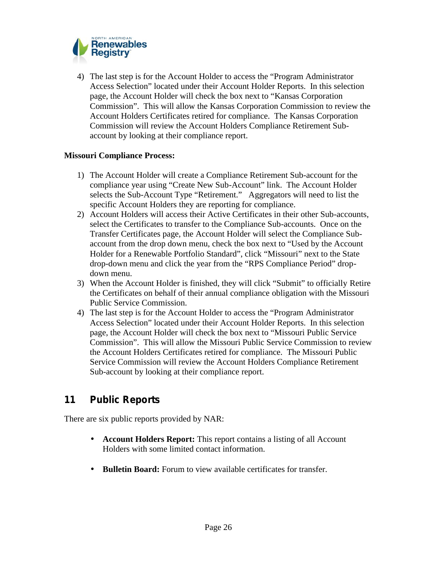

4) The last step is for the Account Holder to access the "Program Administrator Access Selection" located under their Account Holder Reports. In this selection page, the Account Holder will check the box next to "Kansas Corporation Commission". This will allow the Kansas Corporation Commission to review the Account Holders Certificates retired for compliance. The Kansas Corporation Commission will review the Account Holders Compliance Retirement Sub account by looking at their compliance report.

#### **Missouri Compliance Process:**

- 1) The Account Holder will create a Compliance Retirement Sub-account for the compliance year using "Create New Sub-Account" link. The Account Holder selects the Sub-Account Type "Retirement." Aggregators will need to list the specific Account Holders they are reporting for compliance.
- 2) Account Holders will access their Active Certificates in their other Sub-accounts, select the Certificates to transfer to the Compliance Sub-accounts. Once on the Transfer Certificates page, the Account Holder will select the Compliance Sub account from the drop down menu, check the box next to "Used by the Account Holder for a Renewable Portfolio Standard", click "Missouri" next to the State drop-down menu and click the year from the "RPS Compliance Period" drop down menu.
- 3) When the Account Holder is finished, they will click "Submit" to officially Retire the Certificates on behalf of their annual compliance obligation with the Missouri Public Service Commission.
- 4) The last step is for the Account Holder to access the "Program Administrator Access Selection" located under their Account Holder Reports. In this selection page, the Account Holder will check the box next to "Missouri Public Service Commission". This will allow the Missouri Public Service Commission to review the Account Holders Certificates retired for compliance. The Missouri Public Service Commission will review the Account Holders Compliance Retirement Sub-account by looking at their compliance report.

## **11 Public Reports**

There are six public reports provided by NAR:

- **Account Holders Report:** This report contains a listing of all Account Holders with some limited contact information.
- **Bulletin Board:** Forum to view available certificates for transfer.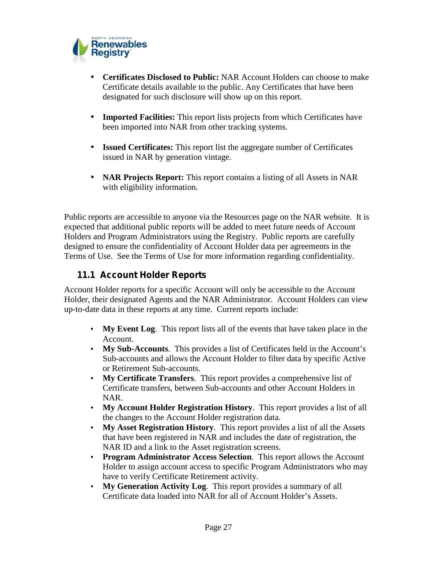

- **Certificates Disclosed to Public:** NAR Account Holders can choose to make Certificate details available to the public. Any Certificates that have been designated for such disclosure will show up on this report.
- **Imported Facilities:** This report lists projects from which Certificates have been imported into NAR from other tracking systems.
- **Issued Certificates:** This report list the aggregate number of Certificates issued in NAR by generation vintage.
- **NAR Projects Report:** This report contains a listing of all Assets in NAR with eligibility information.

Public reports are accessible to anyone via the Resources page on the NAR website. It is expected that additional public reports will be added to meet future needs of Account Holders and Program Administrators using the Registry. Public reports are carefully designed to ensure the confidentiality of Account Holder data per agreements in the Terms of Use. See the Terms of Use for more information regarding confidentiality.

### **11.1 Account Holder Reports**

Account Holder reports for a specific Account will only be accessible to the Account Holder, their designated Agents and the NAR Administrator. Account Holders can view up-to-date data in these reports at any time. Current reports include:

- **My Event Log**. This report lists all of the events that have taken place in the Account.
- **My Sub-Accounts**. This provides a list of Certificates held in the Account's Sub-accounts and allows the Account Holder to filter data by specific Active or Retirement Sub-accounts.
- **My Certificate Transfers**. This report provides a comprehensive list of Certificate transfers, between Sub-accounts and other Account Holders in NAR.
- **My Account Holder Registration History**. This report provides a list of all the changes to the Account Holder registration data.
- **My Asset Registration History**. This report provides a list of all the Assets that have been registered in NAR and includes the date of registration, the NAR ID and a link to the Asset registration screens.
- **Program Administrator Access Selection**. This report allows the Account Holder to assign account access to specific Program Administrators who may have to verify Certificate Retirement activity.
- **My Generation Activity Log**. This report provides a summary of all Certificate data loaded into NAR for all of Account Holder's Assets.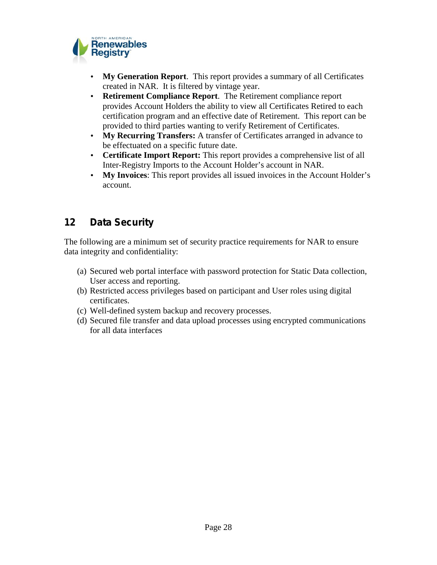

- **My Generation Report**. This report provides a summary of all Certificates created in NAR. It is filtered by vintage year.
- **Retirement Compliance Report**. The Retirement compliance report provides Account Holders the ability to view all Certificates Retired to each certification program and an effective date of Retirement. This report can be provided to third parties wanting to verify Retirement of Certificates.
- **My Recurring Transfers:** A transfer of Certificates arranged in advance to be effectuated on a specific future date.
- **Certificate Import Report:** This report provides a comprehensive list of all Inter-Registry Imports to the Account Holder's account in NAR.
- **My Invoices**: This report provides all issued invoices in the Account Holder's account.

## **12 Data Security**

The following are a minimum set of security practice requirements for NAR to ensure data integrity and confidentiality:

- (a) Secured web portal interface with password protection for Static Data collection, User access and reporting.
- (b) Restricted access privileges based on participant and User roles using digital certificates.
- (c) Well-defined system backup and recovery processes.
- (d) Secured file transfer and data upload processes using encrypted communications for all data interfaces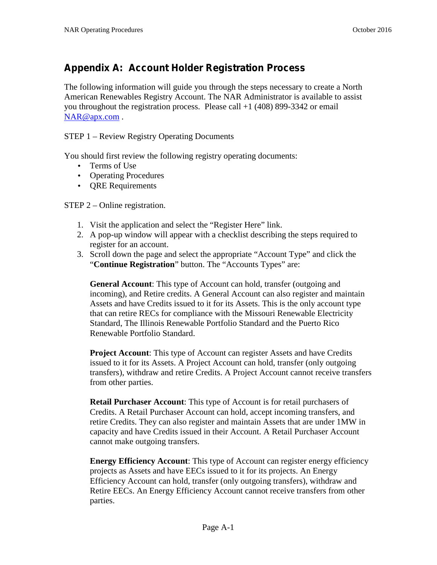## **Appendix A: Account Holder Registration Process**

The following information will guide you through the steps necessary to create a North American Renewables Registry Account. The NAR Administrator is available to assist you throughout the registration process. Please call +1 (408) 899-3342 or email NAR@apx.com.

STEP 1 – Review Registry Operating Documents

You should first review the following registry operating documents:

- Terms of Use
- Operating Procedures
- QRE Requirements

STEP 2 – Online registration.

- 1. Visit the application and select the "Register Here" link.
- 2. A pop-up window will appear with a checklist describing the steps required to register for an account.
- 3. Scroll down the page and select the appropriate "Account Type" and click the "**Continue Registration**" button. The "Accounts Types" are:

**General Account**: This type of Account can hold, transfer (outgoing and incoming), and Retire credits. A General Account can also register and maintain Assets and have Credits issued to it for its Assets. This is the only account type that can retire RECs for compliance with the Missouri Renewable Electricity Standard, The Illinois Renewable Portfolio Standard and the Puerto Rico Renewable Portfolio Standard.

**Project Account**: This type of Account can register Assets and have Credits issued to it for its Assets. A Project Account can hold, transfer (only outgoing transfers), withdraw and retire Credits. A Project Account cannot receive transfers from other parties.

**Retail Purchaser Account**: This type of Account is for retail purchasers of Credits. A Retail Purchaser Account can hold, accept incoming transfers, and retire Credits. They can also register and maintain Assets that are under 1MW in capacity and have Credits issued in their Account. A Retail Purchaser Account cannot make outgoing transfers.

**Energy Efficiency Account**: This type of Account can register energy efficiency projects as Assets and have EECs issued to it for its projects. An Energy Efficiency Account can hold, transfer (only outgoing transfers), withdraw and Retire EECs. An Energy Efficiency Account cannot receive transfers from other parties.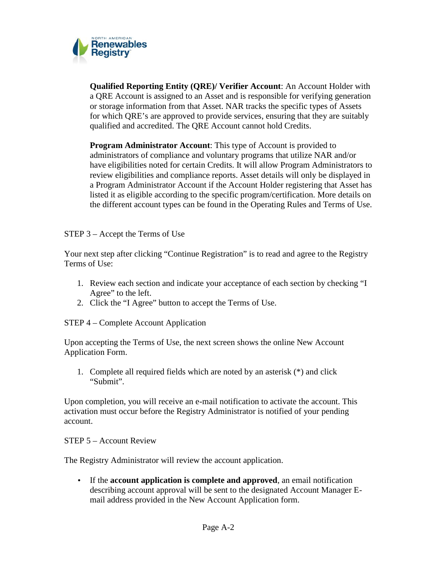

**Qualified Reporting Entity (QRE)/ Verifier Account**: An Account Holder with a QRE Account is assigned to an Asset and is responsible for verifying generation or storage information from that Asset. NAR tracks the specific types of Assets for which QRE's are approved to provide services, ensuring that they are suitably qualified and accredited. The QRE Account cannot hold Credits.

**Program Administrator Account**: This type of Account is provided to administrators of compliance and voluntary programs that utilize NAR and/or have eligibilities noted for certain Credits. It will allow Program Administrators to review eligibilities and compliance reports. Asset details will only be displayed in a Program Administrator Account if the Account Holder registering that Asset has listed it as eligible according to the specific program/certification. More details on the different account types can be found in the Operating Rules and Terms of Use.

STEP 3 – Accept the Terms of Use

Your next step after clicking "Continue Registration" is to read and agree to the Registry Terms of Use:

- 1. Review each section and indicate your acceptance of each section by checking "I Agree" to the left.
- 2. Click the "I Agree" button to accept the Terms of Use.

STEP 4 – Complete Account Application

Upon accepting the Terms of Use, the next screen shows the online New Account Application Form.

1. Complete all required fields which are noted by an asterisk (\*) and click "Submit".

Upon completion, you will receive an e-mail notification to activate the account. This activation must occur before the Registry Administrator is notified of your pending account.

STEP 5 – Account Review

The Registry Administrator will review the account application.

 If the **account application is complete and approved**, an email notification describing account approval will be sent to the designated Account Manager E mail address provided in the New Account Application form.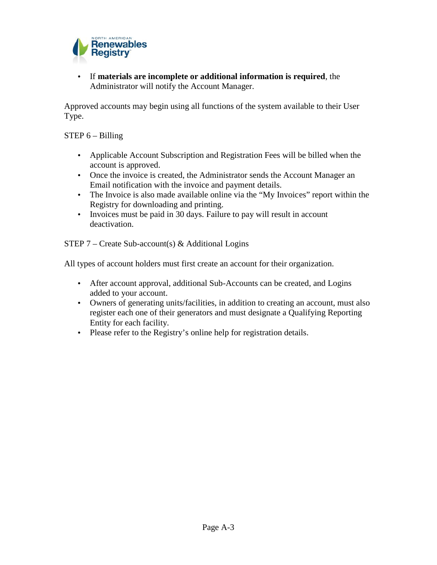

 If **materials are incomplete or additional information is required**, the Administrator will notify the Account Manager.

Approved accounts may begin using all functions of the system available to their User Type.

#### STEP 6 – Billing

- Applicable Account Subscription and Registration Fees will be billed when the account is approved.
- Once the invoice is created, the Administrator sends the Account Manager an Email notification with the invoice and payment details.
- The Invoice is also made available online via the "My Invoices" report within the Registry for downloading and printing.
- Invoices must be paid in 30 days. Failure to pay will result in account deactivation.

STEP 7 – Create Sub-account(s) & Additional Logins

All types of account holders must first create an account for their organization.

- After account approval, additional Sub-Accounts can be created, and Logins added to your account.
- Owners of generating units/facilities, in addition to creating an account, must also register each one of their generators and must designate a Qualifying Reporting Entity for each facility.
- Please refer to the Registry's online help for registration details.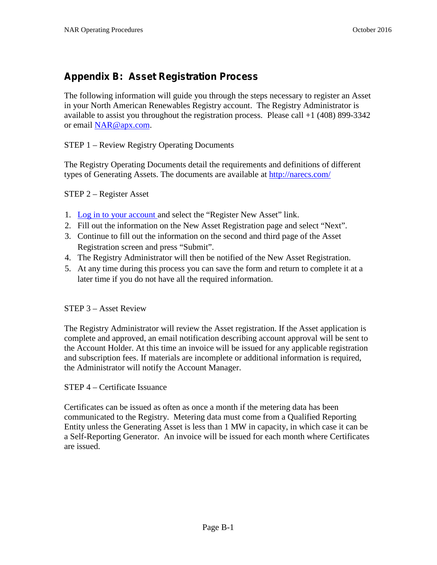## **Appendix B: Asset Registration Process**

The following information will guide you through the steps necessary to register an Asset in your North American Renewables Registry account. The Registry Administrator is available to assist you throughout the registration process. Please call +1 (408) 899-3342 or email NAR@apx.com.

STEP 1 – Review Registry Operating Documents

The Registry Operating Documents detail the requirements and definitions of different types of Generating Assets. The documents are available at http://narecs.com/

STEP 2 – Register Asset

- 1. Log in to your account and select the "Register New Asset" link.
- 2. Fill out the information on the New Asset Registration page and select "Next".
- 3. Continue to fill out the information on the second and third page of the Asset Registration screen and press "Submit".
- 4. The Registry Administrator will then be notified of the New Asset Registration.
- 5. At any time during this process you can save the form and return to complete it at a later time if you do not have all the required information.

#### STEP 3 – Asset Review

The Registry Administrator will review the Asset registration. If the Asset application is complete and approved, an email notification describing account approval will be sent to the Account Holder. At this time an invoice will be issued for any applicable registration and subscription fees. If materials are incomplete or additional information is required, the Administrator will notify the Account Manager.

#### STEP 4 – Certificate Issuance

Certificates can be issued as often as once a month if the metering data has been communicated to the Registry. Metering data must come from a Qualified Reporting Entity unless the Generating Asset is less than 1 MW in capacity, in which case it can be a Self-Reporting Generator. An invoice will be issued for each month where Certificates are issued.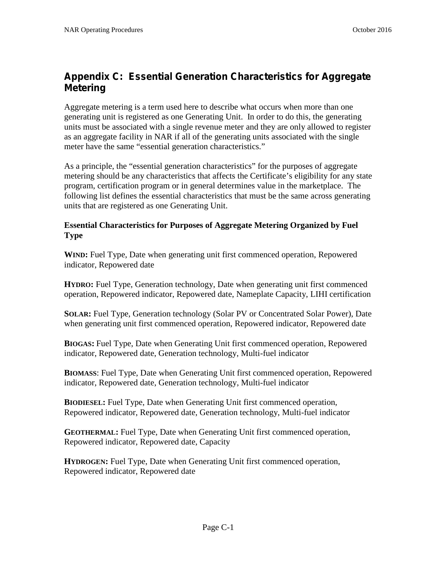## **Appendix C: Essential Generation Characteristics for Aggregate Metering**

Aggregate metering is a term used here to describe what occurs when more than one generating unit is registered as one Generating Unit. In order to do this, the generating units must be associated with a single revenue meter and they are only allowed to register as an aggregate facility in NAR if all of the generating units associated with the single meter have the same "essential generation characteristics."

As a principle, the "essential generation characteristics" for the purposes of aggregate metering should be any characteristics that affects the Certificate's eligibility for any state program, certification program or in general determines value in the marketplace. The following list defines the essential characteristics that must be the same across generating units that are registered as one Generating Unit.

#### **Essential Characteristics for Purposes of Aggregate Metering Organized by Fuel Type**

**WIND:** Fuel Type, Date when generating unit first commenced operation, Repowered indicator, Repowered date

**HYDRO:** Fuel Type, Generation technology, Date when generating unit first commenced operation, Repowered indicator, Repowered date, Nameplate Capacity, LIHI certification

**SOLAR:** Fuel Type, Generation technology (Solar PV or Concentrated Solar Power), Date when generating unit first commenced operation, Repowered indicator, Repowered date

**BIOGAS:** Fuel Type, Date when Generating Unit first commenced operation, Repowered indicator, Repowered date, Generation technology, Multi-fuel indicator

**BIOMASS**: Fuel Type, Date when Generating Unit first commenced operation, Repowered indicator, Repowered date, Generation technology, Multi-fuel indicator

**BIODIESEL:** Fuel Type, Date when Generating Unit first commenced operation, Repowered indicator, Repowered date, Generation technology, Multi-fuel indicator

**GEOTHERMAL:** Fuel Type, Date when Generating Unit first commenced operation, Repowered indicator, Repowered date, Capacity

**HYDROGEN:** Fuel Type, Date when Generating Unit first commenced operation, Repowered indicator, Repowered date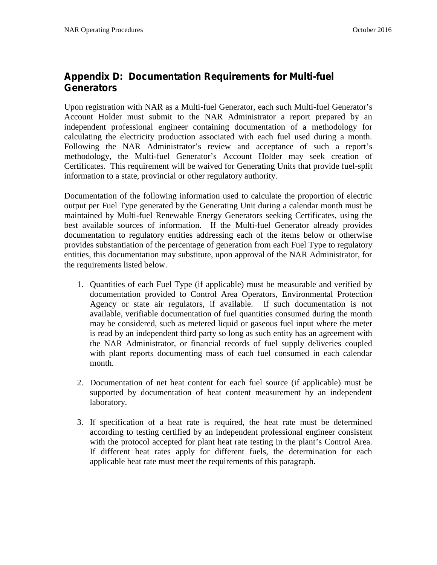## **Appendix D: Documentation Requirements for Multi-fuel Generators**

Upon registration with NAR as a Multi-fuel Generator, each such Multi-fuel Generator's Account Holder must submit to the NAR Administrator a report prepared by an independent professional engineer containing documentation of a methodology for calculating the electricity production associated with each fuel used during a month. Following the NAR Administrator's review and acceptance of such a report's methodology, the Multi-fuel Generator's Account Holder may seek creation of Certificates. This requirement will be waived for Generating Units that provide fuel-split information to a state, provincial or other regulatory authority.

Documentation of the following information used to calculate the proportion of electric output per Fuel Type generated by the Generating Unit during a calendar month must be maintained by Multi-fuel Renewable Energy Generators seeking Certificates, using the best available sources of information. If the Multi-fuel Generator already provides documentation to regulatory entities addressing each of the items below or otherwise provides substantiation of the percentage of generation from each Fuel Type to regulatory entities, this documentation may substitute, upon approval of the NAR Administrator, for the requirements listed below.

- 1. Quantities of each Fuel Type (if applicable) must be measurable and verified by documentation provided to Control Area Operators, Environmental Protection Agency or state air regulators, if available. If such documentation is not available, verifiable documentation of fuel quantities consumed during the month may be considered, such as metered liquid or gaseous fuel input where the meter is read by an independent third party so long as such entity has an agreement with the NAR Administrator, or financial records of fuel supply deliveries coupled with plant reports documenting mass of each fuel consumed in each calendar month.
- 2. Documentation of net heat content for each fuel source (if applicable) must be supported by documentation of heat content measurement by an independent laboratory.
- 3. If specification of a heat rate is required, the heat rate must be determined according to testing certified by an independent professional engineer consistent with the protocol accepted for plant heat rate testing in the plant's Control Area. If different heat rates apply for different fuels, the determination for each applicable heat rate must meet the requirements of this paragraph.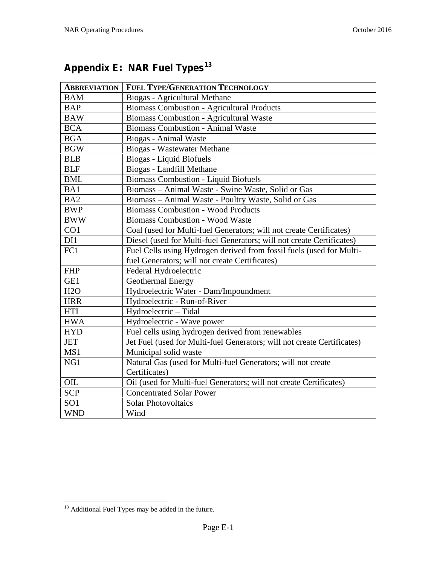| <b>ABBREVIATION</b> | <b>FUEL TYPE/GENERATION TECHNOLOGY</b>                                                                                 |
|---------------------|------------------------------------------------------------------------------------------------------------------------|
| <b>BAM</b>          | Biogas - Agricultural Methane                                                                                          |
| <b>BAP</b>          | <b>Biomass Combustion - Agricultural Products</b>                                                                      |
| <b>BAW</b>          | <b>Biomass Combustion - Agricultural Waste</b>                                                                         |
| <b>BCA</b>          | <b>Biomass Combustion - Animal Waste</b>                                                                               |
| <b>BGA</b>          | Biogas - Animal Waste                                                                                                  |
| <b>BGW</b>          | Biogas - Wastewater Methane                                                                                            |
| <b>BLB</b>          | Biogas - Liquid Biofuels                                                                                               |
| <b>BLF</b>          | Biogas - Landfill Methane                                                                                              |
| <b>BML</b>          | <b>Biomass Combustion - Liquid Biofuels</b>                                                                            |
| BA1                 | Biomass - Animal Waste - Swine Waste, Solid or Gas                                                                     |
| BA <sub>2</sub>     | Biomass - Animal Waste - Poultry Waste, Solid or Gas                                                                   |
| <b>BWP</b>          | <b>Biomass Combustion - Wood Products</b>                                                                              |
| <b>BWW</b>          | <b>Biomass Combustion - Wood Waste</b>                                                                                 |
| CO1                 | Coal (used for Multi-fuel Generators; will not create Certificates)                                                    |
| DI1                 | Diesel (used for Multi-fuel Generators; will not create Certificates)                                                  |
| FC1                 | Fuel Cells using Hydrogen derived from fossil fuels (used for Multi-<br>fuel Generators; will not create Certificates) |
| <b>FHP</b>          | Federal Hydroelectric                                                                                                  |
| GE1                 | Geothermal Energy                                                                                                      |
| H2O                 | Hydroelectric Water - Dam/Impoundment                                                                                  |
| <b>HRR</b>          | Hydroelectric - Run-of-River                                                                                           |
| HTI                 | Hydroelectric - Tidal                                                                                                  |
| <b>HWA</b>          | Hydroelectric - Wave power                                                                                             |
| <b>HYD</b>          | Fuel cells using hydrogen derived from renewables                                                                      |
| <b>JET</b>          | Jet Fuel (used for Multi-fuel Generators; will not create Certificates)                                                |
| MS1                 | Municipal solid waste                                                                                                  |
| NG1                 | Natural Gas (used for Multi-fuel Generators; will not create                                                           |
|                     | Certificates)                                                                                                          |
| OIL                 | Oil (used for Multi-fuel Generators; will not create Certificates)                                                     |
| <b>SCP</b>          | <b>Concentrated Solar Power</b>                                                                                        |
| SO <sub>1</sub>     | <b>Solar Photovoltaics</b>                                                                                             |
| <b>WND</b>          | Wind                                                                                                                   |

# **Appendix E: NAR Fuel Types<sup>13</sup>**

 $^{13}$  Additional Fuel Types may be added in the future.